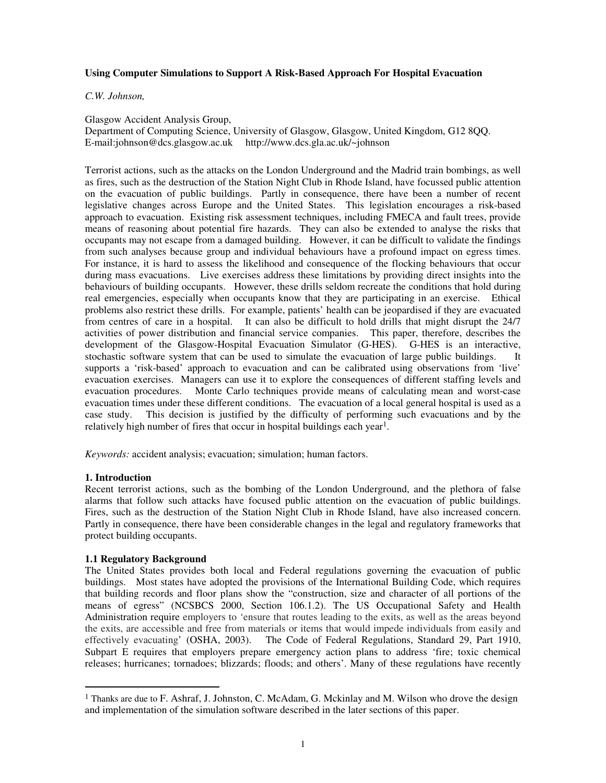## **Using Computer Simulations to Support A Risk-Based Approach For Hospital Evacuation**

### *C.W. Johnson,*

Glasgow Accident Analysis Group,

Department of Computing Science, University of Glasgow, Glasgow, United Kingdom, G12 8QQ. E-mail:johnson@dcs.glasgow.ac.uk http://www.dcs.gla.ac.uk/~johnson

Terrorist actions, such as the attacks on the London Underground and the Madrid train bombings, as well as fires, such as the destruction of the Station Night Club in Rhode Island, have focussed public attention on the evacuation of public buildings. Partly in consequence, there have been a number of recent legislative changes across Europe and the United States. This legislation encourages a risk-based approach to evacuation. Existing risk assessment techniques, including FMECA and fault trees, provide means of reasoning about potential fire hazards. They can also be extended to analyse the risks that occupants may not escape from a damaged building. However, it can be difficult to validate the findings from such analyses because group and individual behaviours have a profound impact on egress times. For instance, it is hard to assess the likelihood and consequence of the flocking behaviours that occur during mass evacuations. Live exercises address these limitations by providing direct insights into the behaviours of building occupants. However, these drills seldom recreate the conditions that hold during real emergencies, especially when occupants know that they are participating in an exercise. Ethical problems also restrict these drills. For example, patients' health can be jeopardised if they are evacuated from centres of care in a hospital. It can also be difficult to hold drills that might disrupt the 24/7 activities of power distribution and financial service companies. This paper, therefore, describes the development of the Glasgow-Hospital Evacuation Simulator (G-HES). G-HES is an interactive, stochastic software system that can be used to simulate the evacuation of large public buildings. It supports a 'risk-based' approach to evacuation and can be calibrated using observations from 'live' evacuation exercises. Managers can use it to explore the consequences of different staffing levels and evacuation procedures. Monte Carlo techniques provide means of calculating mean and worst-case evacuation times under these different conditions. The evacuation of a local general hospital is used as a case study. This decision is justified by the difficulty of performing such evacuations and by the relatively high number of fires that occur in hospital buildings each year<sup>1</sup>.

*Keywords:* accident analysis; evacuation; simulation; human factors.

## **1. Introduction**

Recent terrorist actions, such as the bombing of the London Underground, and the plethora of false alarms that follow such attacks have focused public attention on the evacuation of public buildings. Fires, such as the destruction of the Station Night Club in Rhode Island, have also increased concern. Partly in consequence, there have been considerable changes in the legal and regulatory frameworks that protect building occupants.

## **1.1 Regulatory Background**

The United States provides both local and Federal regulations governing the evacuation of public buildings. Most states have adopted the provisions of the International Building Code, which requires that building records and floor plans show the "construction, size and character of all portions of the means of egress" (NCSBCS 2000, Section 106.1.2). The US Occupational Safety and Health Administration require employers to 'ensure that routes leading to the exits, as well as the areas beyond the exits, are accessible and free from materials or items that would impede individuals from easily and effectively evacuating' (OSHA, 2003). The Code of Federal Regulations, Standard 29, Part 1910, Subpart E requires that employers prepare emergency action plans to address 'fire; toxic chemical releases; hurricanes; tornadoes; blizzards; floods; and others'. Many of these regulations have recently

 $<sup>1</sup>$  Thanks are due to F. Ashraf, J. Johnston, C. McAdam, G. Mckinlay and M. Wilson who drove the design</sup> and implementation of the simulation software described in the later sections of this paper.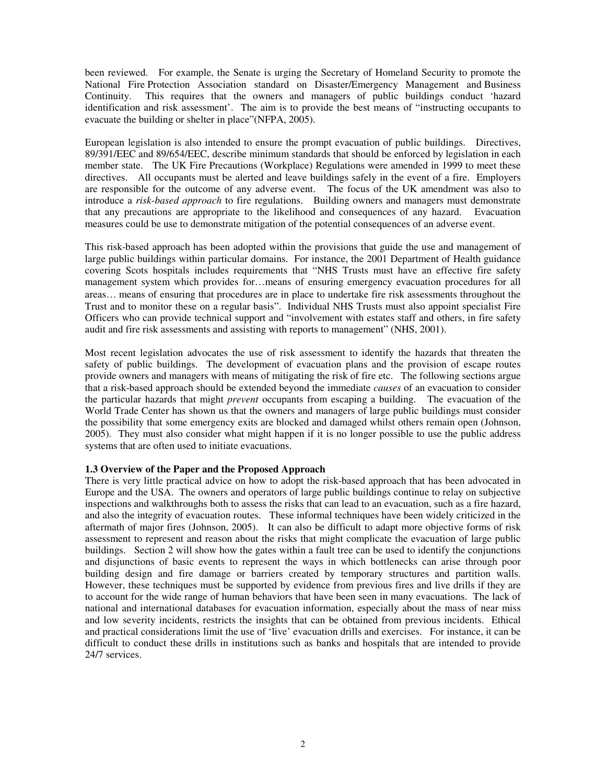been reviewed. For example, the Senate is urging the Secretary of Homeland Security to promote the National Fire Protection Association standard on Disaster/Emergency Management and Business Continuity. This requires that the owners and managers of public buildings conduct 'hazard identification and risk assessment'. The aim is to provide the best means of "instructing occupants to evacuate the building or shelter in place"(NFPA, 2005).

European legislation is also intended to ensure the prompt evacuation of public buildings. Directives, 89/391/EEC and 89/654/EEC, describe minimum standards that should be enforced by legislation in each member state. The UK Fire Precautions (Workplace) Regulations were amended in 1999 to meet these directives. All occupants must be alerted and leave buildings safely in the event of a fire. Employers are responsible for the outcome of any adverse event. The focus of the UK amendment was also to introduce a *risk-based approach* to fire regulations. Building owners and managers must demonstrate that any precautions are appropriate to the likelihood and consequences of any hazard. Evacuation measures could be use to demonstrate mitigation of the potential consequences of an adverse event.

This risk-based approach has been adopted within the provisions that guide the use and management of large public buildings within particular domains. For instance, the 2001 Department of Health guidance covering Scots hospitals includes requirements that "NHS Trusts must have an effective fire safety management system which provides for…means of ensuring emergency evacuation procedures for all areas… means of ensuring that procedures are in place to undertake fire risk assessments throughout the Trust and to monitor these on a regular basis". Individual NHS Trusts must also appoint specialist Fire Officers who can provide technical support and "involvement with estates staff and others, in fire safety audit and fire risk assessments and assisting with reports to management" (NHS, 2001).

Most recent legislation advocates the use of risk assessment to identify the hazards that threaten the safety of public buildings. The development of evacuation plans and the provision of escape routes provide owners and managers with means of mitigating the risk of fire etc. The following sections argue that a risk-based approach should be extended beyond the immediate *causes* of an evacuation to consider the particular hazards that might *prevent* occupants from escaping a building. The evacuation of the World Trade Center has shown us that the owners and managers of large public buildings must consider the possibility that some emergency exits are blocked and damaged whilst others remain open (Johnson, 2005). They must also consider what might happen if it is no longer possible to use the public address systems that are often used to initiate evacuations.

## **1.3 Overview of the Paper and the Proposed Approach**

There is very little practical advice on how to adopt the risk-based approach that has been advocated in Europe and the USA. The owners and operators of large public buildings continue to relay on subjective inspections and walkthroughs both to assess the risks that can lead to an evacuation, such as a fire hazard, and also the integrity of evacuation routes. These informal techniques have been widely criticized in the aftermath of major fires (Johnson, 2005). It can also be difficult to adapt more objective forms of risk assessment to represent and reason about the risks that might complicate the evacuation of large public buildings. Section 2 will show how the gates within a fault tree can be used to identify the conjunctions and disjunctions of basic events to represent the ways in which bottlenecks can arise through poor building design and fire damage or barriers created by temporary structures and partition walls. However, these techniques must be supported by evidence from previous fires and live drills if they are to account for the wide range of human behaviors that have been seen in many evacuations. The lack of national and international databases for evacuation information, especially about the mass of near miss and low severity incidents, restricts the insights that can be obtained from previous incidents. Ethical and practical considerations limit the use of 'live' evacuation drills and exercises. For instance, it can be difficult to conduct these drills in institutions such as banks and hospitals that are intended to provide 24/7 services.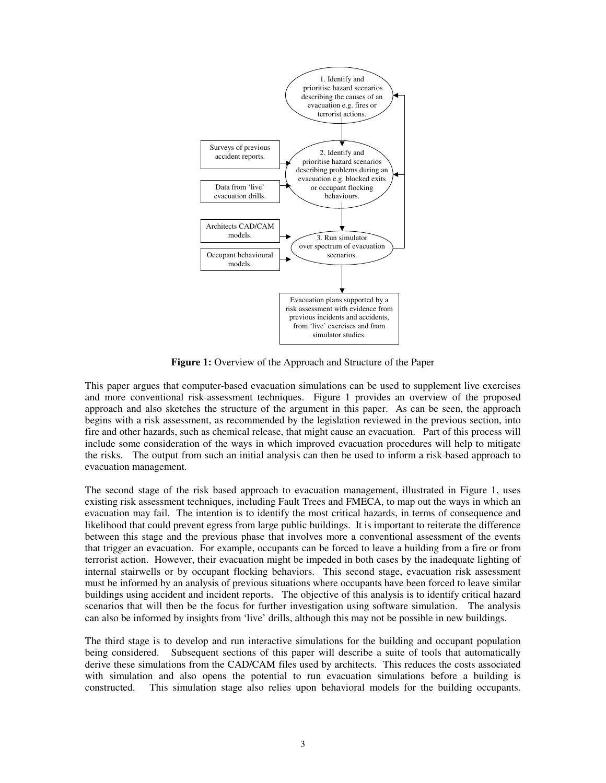

**Figure 1:** Overview of the Approach and Structure of the Paper

This paper argues that computer-based evacuation simulations can be used to supplement live exercises and more conventional risk-assessment techniques. Figure 1 provides an overview of the proposed approach and also sketches the structure of the argument in this paper. As can be seen, the approach begins with a risk assessment, as recommended by the legislation reviewed in the previous section, into fire and other hazards, such as chemical release, that might cause an evacuation. Part of this process will include some consideration of the ways in which improved evacuation procedures will help to mitigate the risks. The output from such an initial analysis can then be used to inform a risk-based approach to evacuation management.

The second stage of the risk based approach to evacuation management, illustrated in Figure 1, uses existing risk assessment techniques, including Fault Trees and FMECA, to map out the ways in which an evacuation may fail. The intention is to identify the most critical hazards, in terms of consequence and likelihood that could prevent egress from large public buildings. It is important to reiterate the difference between this stage and the previous phase that involves more a conventional assessment of the events that trigger an evacuation. For example, occupants can be forced to leave a building from a fire or from terrorist action. However, their evacuation might be impeded in both cases by the inadequate lighting of internal stairwells or by occupant flocking behaviors. This second stage, evacuation risk assessment must be informed by an analysis of previous situations where occupants have been forced to leave similar buildings using accident and incident reports. The objective of this analysis is to identify critical hazard scenarios that will then be the focus for further investigation using software simulation. The analysis can also be informed by insights from 'live' drills, although this may not be possible in new buildings.

The third stage is to develop and run interactive simulations for the building and occupant population being considered. Subsequent sections of this paper will describe a suite of tools that automatically derive these simulations from the CAD/CAM files used by architects. This reduces the costs associated with simulation and also opens the potential to run evacuation simulations before a building is constructed. This simulation stage also relies upon behavioral models for the building occupants.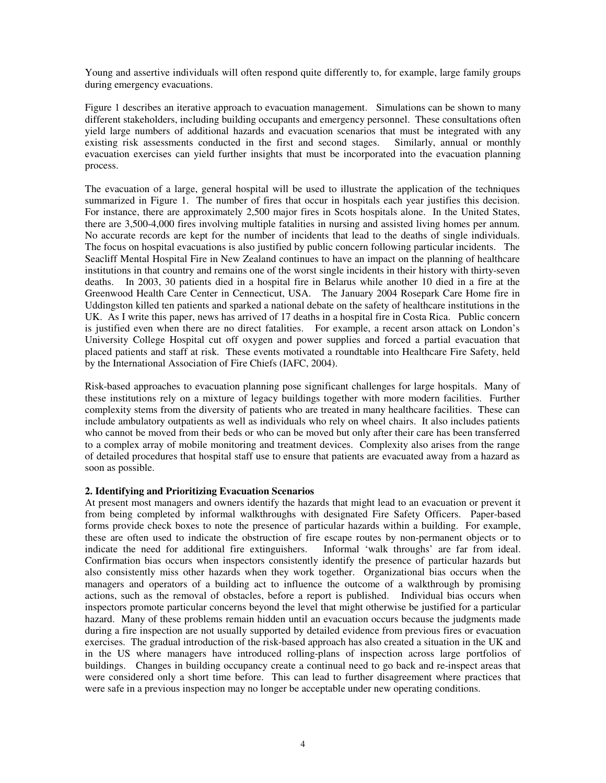Young and assertive individuals will often respond quite differently to, for example, large family groups during emergency evacuations.

Figure 1 describes an iterative approach to evacuation management. Simulations can be shown to many different stakeholders, including building occupants and emergency personnel. These consultations often yield large numbers of additional hazards and evacuation scenarios that must be integrated with any existing risk assessments conducted in the first and second stages. Similarly, annual or monthly existing risk assessments conducted in the first and second stages. evacuation exercises can yield further insights that must be incorporated into the evacuation planning process.

The evacuation of a large, general hospital will be used to illustrate the application of the techniques summarized in Figure 1. The number of fires that occur in hospitals each year justifies this decision. For instance, there are approximately 2,500 major fires in Scots hospitals alone. In the United States, there are 3,500-4,000 fires involving multiple fatalities in nursing and assisted living homes per annum. No accurate records are kept for the number of incidents that lead to the deaths of single individuals. The focus on hospital evacuations is also justified by public concern following particular incidents. The Seacliff Mental Hospital Fire in New Zealand continues to have an impact on the planning of healthcare institutions in that country and remains one of the worst single incidents in their history with thirty-seven deaths. In 2003, 30 patients died in a hospital fire in Belarus while another 10 died in a fire at the Greenwood Health Care Center in Cennecticut, USA. The January 2004 Rosepark Care Home fire in Uddingston killed ten patients and sparked a national debate on the safety of healthcare institutions in the UK. As I write this paper, news has arrived of 17 deaths in a hospital fire in Costa Rica. Public concern is justified even when there are no direct fatalities. For example, a recent arson attack on London's University College Hospital cut off oxygen and power supplies and forced a partial evacuation that placed patients and staff at risk. These events motivated a roundtable into Healthcare Fire Safety, held by the International Association of Fire Chiefs (IAFC, 2004).

Risk-based approaches to evacuation planning pose significant challenges for large hospitals. Many of these institutions rely on a mixture of legacy buildings together with more modern facilities. Further complexity stems from the diversity of patients who are treated in many healthcare facilities. These can include ambulatory outpatients as well as individuals who rely on wheel chairs. It also includes patients who cannot be moved from their beds or who can be moved but only after their care has been transferred to a complex array of mobile monitoring and treatment devices. Complexity also arises from the range of detailed procedures that hospital staff use to ensure that patients are evacuated away from a hazard as soon as possible.

## **2. Identifying and Prioritizing Evacuation Scenarios**

At present most managers and owners identify the hazards that might lead to an evacuation or prevent it from being completed by informal walkthroughs with designated Fire Safety Officers. Paper-based forms provide check boxes to note the presence of particular hazards within a building. For example, these are often used to indicate the obstruction of fire escape routes by non-permanent objects or to indicate the need for additional fire extinguishers. Informal 'walk throughs' are far from ideal. indicate the need for additional fire extinguishers. Confirmation bias occurs when inspectors consistently identify the presence of particular hazards but also consistently miss other hazards when they work together. Organizational bias occurs when the managers and operators of a building act to influence the outcome of a walkthrough by promising actions, such as the removal of obstacles, before a report is published. Individual bias occurs when inspectors promote particular concerns beyond the level that might otherwise be justified for a particular hazard. Many of these problems remain hidden until an evacuation occurs because the judgments made during a fire inspection are not usually supported by detailed evidence from previous fires or evacuation exercises. The gradual introduction of the risk-based approach has also created a situation in the UK and in the US where managers have introduced rolling-plans of inspection across large portfolios of buildings. Changes in building occupancy create a continual need to go back and re-inspect areas that were considered only a short time before. This can lead to further disagreement where practices that were safe in a previous inspection may no longer be acceptable under new operating conditions.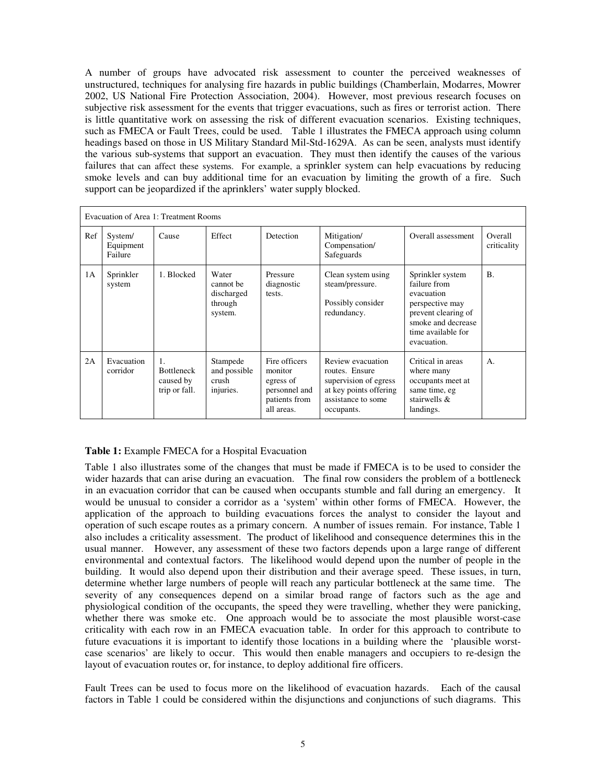A number of groups have advocated risk assessment to counter the perceived weaknesses of unstructured, techniques for analysing fire hazards in public buildings (Chamberlain, Modarres, Mowrer 2002, US National Fire Protection Association, 2004). However, most previous research focuses on subjective risk assessment for the events that trigger evacuations, such as fires or terrorist action. There is little quantitative work on assessing the risk of different evacuation scenarios. Existing techniques, such as FMECA or Fault Trees, could be used. Table 1 illustrates the FMECA approach using column headings based on those in US Military Standard Mil-Std-1629A. As can be seen, analysts must identify the various sub-systems that support an evacuation. They must then identify the causes of the various failures that can affect these systems. For example, a sprinkler system can help evacuations by reducing smoke levels and can buy additional time for an evacuation by limiting the growth of a fire. Such support can be jeopardized if the aprinklers' water supply blocked.

| Evacuation of Area 1: Treatment Rooms |                                 |                                                       |                                                        |                                                                                       |                                                                                                                            |                                                                                                                                                     |                        |
|---------------------------------------|---------------------------------|-------------------------------------------------------|--------------------------------------------------------|---------------------------------------------------------------------------------------|----------------------------------------------------------------------------------------------------------------------------|-----------------------------------------------------------------------------------------------------------------------------------------------------|------------------------|
| Ref                                   | System/<br>Equipment<br>Failure | Cause                                                 | Effect                                                 | Detection                                                                             | Mitigation/<br>Compensation/<br>Safeguards                                                                                 | Overall assessment                                                                                                                                  | Overall<br>criticality |
| 1A                                    | Sprinkler<br>system             | 1. Blocked                                            | Water<br>cannot be<br>discharged<br>through<br>system. | Pressure<br>diagnostic<br>tests.                                                      | Clean system using<br>steam/pressure.<br>Possibly consider<br>redundancy.                                                  | Sprinkler system<br>failure from<br>evacuation<br>perspective may<br>prevent clearing of<br>smoke and decrease<br>time available for<br>evacuation. | <b>B.</b>              |
| 2A                                    | Evacuation<br>corridor          | 1.<br><b>Bottleneck</b><br>caused by<br>trip or fall. | Stampede<br>and possible<br>crush<br>injuries.         | Fire officers<br>monitor<br>egress of<br>personnel and<br>patients from<br>all areas. | Review evacuation<br>routes. Ensure<br>supervision of egress<br>at key points offering<br>assistance to some<br>occupants. | Critical in areas<br>where many<br>occupants meet at<br>same time, eg<br>stairwells $\&$<br>landings.                                               | A.                     |

# **Table 1:** Example FMECA for a Hospital Evacuation

Table 1 also illustrates some of the changes that must be made if FMECA is to be used to consider the wider hazards that can arise during an evacuation. The final row considers the problem of a bottleneck in an evacuation corridor that can be caused when occupants stumble and fall during an emergency. It would be unusual to consider a corridor as a 'system' within other forms of FMECA. However, the application of the approach to building evacuations forces the analyst to consider the layout and operation of such escape routes as a primary concern. A number of issues remain. For instance, Table 1 also includes a criticality assessment. The product of likelihood and consequence determines this in the usual manner. However, any assessment of these two factors depends upon a large range of different environmental and contextual factors. The likelihood would depend upon the number of people in the building. It would also depend upon their distribution and their average speed. These issues, in turn, determine whether large numbers of people will reach any particular bottleneck at the same time. The severity of any consequences depend on a similar broad range of factors such as the age and physiological condition of the occupants, the speed they were travelling, whether they were panicking, whether there was smoke etc. One approach would be to associate the most plausible worst-case criticality with each row in an FMECA evacuation table. In order for this approach to contribute to future evacuations it is important to identify those locations in a building where the 'plausible worstcase scenarios' are likely to occur. This would then enable managers and occupiers to re-design the layout of evacuation routes or, for instance, to deploy additional fire officers.

Fault Trees can be used to focus more on the likelihood of evacuation hazards. Each of the causal factors in Table 1 could be considered within the disjunctions and conjunctions of such diagrams. This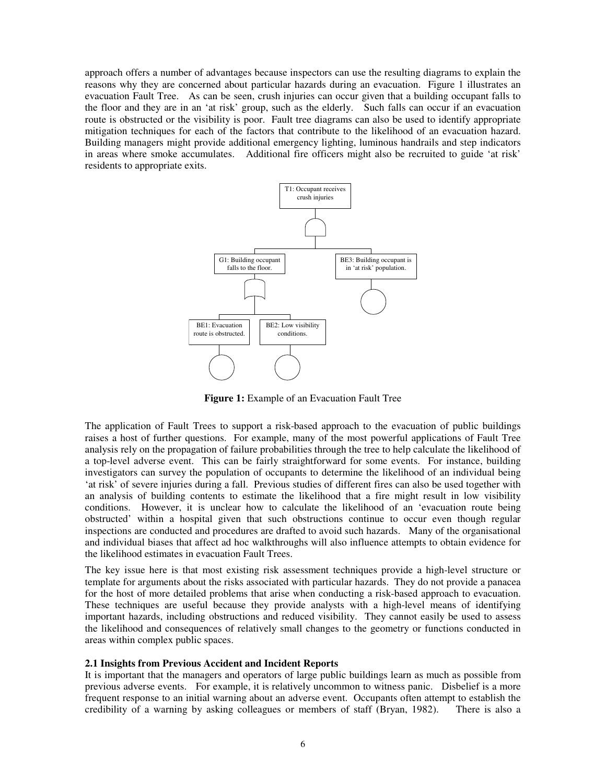approach offers a number of advantages because inspectors can use the resulting diagrams to explain the reasons why they are concerned about particular hazards during an evacuation. Figure 1 illustrates an evacuation Fault Tree. As can be seen, crush injuries can occur given that a building occupant falls to the floor and they are in an 'at risk' group, such as the elderly. Such falls can occur if an evacuation route is obstructed or the visibility is poor. Fault tree diagrams can also be used to identify appropriate mitigation techniques for each of the factors that contribute to the likelihood of an evacuation hazard. Building managers might provide additional emergency lighting, luminous handrails and step indicators in areas where smoke accumulates. Additional fire officers might also be recruited to guide 'at risk' residents to appropriate exits.



**Figure 1:** Example of an Evacuation Fault Tree

The application of Fault Trees to support a risk-based approach to the evacuation of public buildings raises a host of further questions. For example, many of the most powerful applications of Fault Tree analysis rely on the propagation of failure probabilities through the tree to help calculate the likelihood of a top-level adverse event. This can be fairly straightforward for some events. For instance, building investigators can survey the population of occupants to determine the likelihood of an individual being 'at risk' of severe injuries during a fall. Previous studies of different fires can also be used together with an analysis of building contents to estimate the likelihood that a fire might result in low visibility conditions. However, it is unclear how to calculate the likelihood of an 'evacuation route being obstructed' within a hospital given that such obstructions continue to occur even though regular inspections are conducted and procedures are drafted to avoid such hazards. Many of the organisational and individual biases that affect ad hoc walkthroughs will also influence attempts to obtain evidence for the likelihood estimates in evacuation Fault Trees.

The key issue here is that most existing risk assessment techniques provide a high-level structure or template for arguments about the risks associated with particular hazards. They do not provide a panacea for the host of more detailed problems that arise when conducting a risk-based approach to evacuation. These techniques are useful because they provide analysts with a high-level means of identifying important hazards, including obstructions and reduced visibility. They cannot easily be used to assess the likelihood and consequences of relatively small changes to the geometry or functions conducted in areas within complex public spaces.

## **2.1 Insights from Previous Accident and Incident Reports**

It is important that the managers and operators of large public buildings learn as much as possible from previous adverse events. For example, it is relatively uncommon to witness panic. Disbelief is a more frequent response to an initial warning about an adverse event. Occupants often attempt to establish the credibility of a warning by asking colleagues or members of staff (Bryan, 1982). There is also a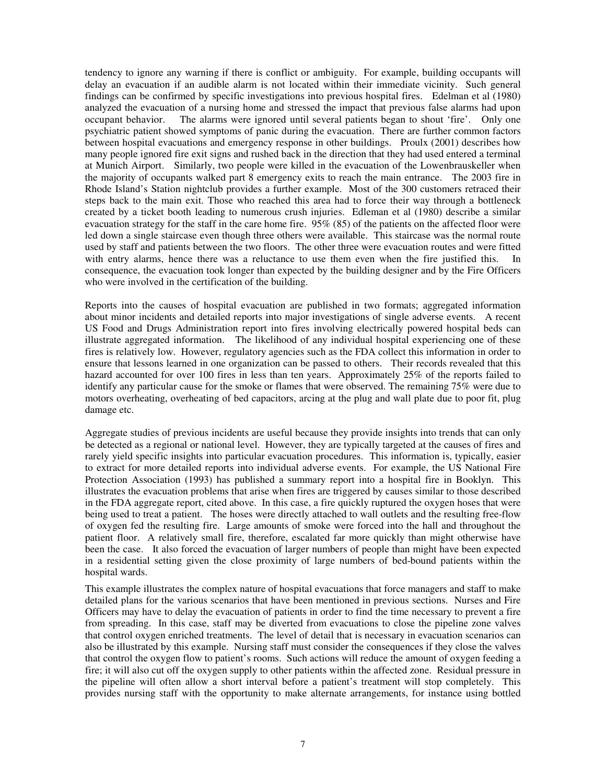tendency to ignore any warning if there is conflict or ambiguity. For example, building occupants will delay an evacuation if an audible alarm is not located within their immediate vicinity. Such general findings can be confirmed by specific investigations into previous hospital fires. Edelman et al (1980) analyzed the evacuation of a nursing home and stressed the impact that previous false alarms had upon occupant behavior. The alarms were ignored until several patients began to shout 'fire'. Only one psychiatric patient showed symptoms of panic during the evacuation. There are further common factors between hospital evacuations and emergency response in other buildings. Proulx (2001) describes how many people ignored fire exit signs and rushed back in the direction that they had used entered a terminal at Munich Airport. Similarly, two people were killed in the evacuation of the Lowenbrauskeller when the majority of occupants walked part 8 emergency exits to reach the main entrance. The 2003 fire in Rhode Island's Station nightclub provides a further example. Most of the 300 customers retraced their steps back to the main exit. Those who reached this area had to force their way through a bottleneck created by a ticket booth leading to numerous crush injuries. Edleman et al (1980) describe a similar evacuation strategy for the staff in the care home fire. 95% (85) of the patients on the affected floor were led down a single staircase even though three others were available. This staircase was the normal route used by staff and patients between the two floors. The other three were evacuation routes and were fitted with entry alarms, hence there was a reluctance to use them even when the fire justified this. In consequence, the evacuation took longer than expected by the building designer and by the Fire Officers who were involved in the certification of the building.

Reports into the causes of hospital evacuation are published in two formats; aggregated information about minor incidents and detailed reports into major investigations of single adverse events. A recent US Food and Drugs Administration report into fires involving electrically powered hospital beds can illustrate aggregated information. The likelihood of any individual hospital experiencing one of these fires is relatively low. However, regulatory agencies such as the FDA collect this information in order to ensure that lessons learned in one organization can be passed to others. Their records revealed that this hazard accounted for over 100 fires in less than ten years. Approximately 25% of the reports failed to identify any particular cause for the smoke or flames that were observed. The remaining 75% were due to motors overheating, overheating of bed capacitors, arcing at the plug and wall plate due to poor fit, plug damage etc.

Aggregate studies of previous incidents are useful because they provide insights into trends that can only be detected as a regional or national level. However, they are typically targeted at the causes of fires and rarely yield specific insights into particular evacuation procedures. This information is, typically, easier to extract for more detailed reports into individual adverse events. For example, the US National Fire Protection Association (1993) has published a summary report into a hospital fire in Booklyn. This illustrates the evacuation problems that arise when fires are triggered by causes similar to those described in the FDA aggregate report, cited above. In this case, a fire quickly ruptured the oxygen hoses that were being used to treat a patient. The hoses were directly attached to wall outlets and the resulting free-flow of oxygen fed the resulting fire. Large amounts of smoke were forced into the hall and throughout the patient floor. A relatively small fire, therefore, escalated far more quickly than might otherwise have been the case. It also forced the evacuation of larger numbers of people than might have been expected in a residential setting given the close proximity of large numbers of bed-bound patients within the hospital wards.

This example illustrates the complex nature of hospital evacuations that force managers and staff to make detailed plans for the various scenarios that have been mentioned in previous sections. Nurses and Fire Officers may have to delay the evacuation of patients in order to find the time necessary to prevent a fire from spreading. In this case, staff may be diverted from evacuations to close the pipeline zone valves that control oxygen enriched treatments. The level of detail that is necessary in evacuation scenarios can also be illustrated by this example. Nursing staff must consider the consequences if they close the valves that control the oxygen flow to patient's rooms. Such actions will reduce the amount of oxygen feeding a fire; it will also cut off the oxygen supply to other patients within the affected zone. Residual pressure in the pipeline will often allow a short interval before a patient's treatment will stop completely. This provides nursing staff with the opportunity to make alternate arrangements, for instance using bottled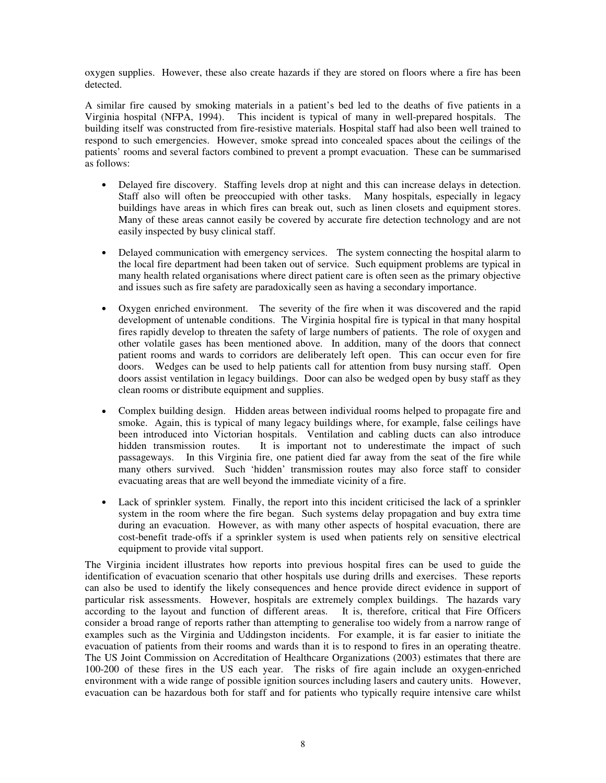oxygen supplies. However, these also create hazards if they are stored on floors where a fire has been detected.

A similar fire caused by smoking materials in a patient's bed led to the deaths of five patients in a Virginia hospital (NFPA, 1994). This incident is typical of many in well-prepared hospitals. The building itself was constructed from fire-resistive materials. Hospital staff had also been well trained to respond to such emergencies. However, smoke spread into concealed spaces about the ceilings of the patients' rooms and several factors combined to prevent a prompt evacuation. These can be summarised as follows:

- Delayed fire discovery. Staffing levels drop at night and this can increase delays in detection. Staff also will often be preoccupied with other tasks. Many hospitals, especially in legacy buildings have areas in which fires can break out, such as linen closets and equipment stores. Many of these areas cannot easily be covered by accurate fire detection technology and are not easily inspected by busy clinical staff.
- Delayed communication with emergency services. The system connecting the hospital alarm to the local fire department had been taken out of service. Such equipment problems are typical in many health related organisations where direct patient care is often seen as the primary objective and issues such as fire safety are paradoxically seen as having a secondary importance.
- Oxygen enriched environment. The severity of the fire when it was discovered and the rapid development of untenable conditions. The Virginia hospital fire is typical in that many hospital fires rapidly develop to threaten the safety of large numbers of patients. The role of oxygen and other volatile gases has been mentioned above. In addition, many of the doors that connect patient rooms and wards to corridors are deliberately left open. This can occur even for fire doors. Wedges can be used to help patients call for attention from busy nursing staff. Open doors assist ventilation in legacy buildings. Door can also be wedged open by busy staff as they clean rooms or distribute equipment and supplies.
- Complex building design. Hidden areas between individual rooms helped to propagate fire and smoke. Again, this is typical of many legacy buildings where, for example, false ceilings have been introduced into Victorian hospitals. Ventilation and cabling ducts can also introduce hidden transmission routes. It is important not to underestimate the impact of such passageways. In this Virginia fire, one patient died far away from the seat of the fire while many others survived. Such 'hidden' transmission routes may also force staff to consider evacuating areas that are well beyond the immediate vicinity of a fire.
- Lack of sprinkler system. Finally, the report into this incident criticised the lack of a sprinkler system in the room where the fire began. Such systems delay propagation and buy extra time during an evacuation. However, as with many other aspects of hospital evacuation, there are cost-benefit trade-offs if a sprinkler system is used when patients rely on sensitive electrical equipment to provide vital support.

The Virginia incident illustrates how reports into previous hospital fires can be used to guide the identification of evacuation scenario that other hospitals use during drills and exercises. These reports can also be used to identify the likely consequences and hence provide direct evidence in support of particular risk assessments. However, hospitals are extremely complex buildings. The hazards vary according to the layout and function of different areas. It is, therefore, critical that Fire Officers consider a broad range of reports rather than attempting to generalise too widely from a narrow range of examples such as the Virginia and Uddingston incidents. For example, it is far easier to initiate the evacuation of patients from their rooms and wards than it is to respond to fires in an operating theatre. The US Joint Commission on Accreditation of Healthcare Organizations (2003) estimates that there are 100-200 of these fires in the US each year. The risks of fire again include an oxygen-enriched environment with a wide range of possible ignition sources including lasers and cautery units. However, evacuation can be hazardous both for staff and for patients who typically require intensive care whilst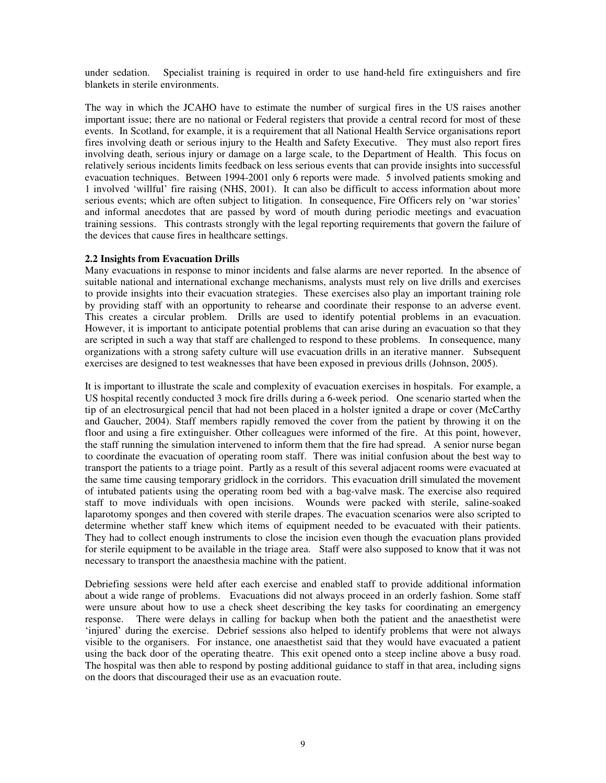under sedation. Specialist training is required in order to use hand-held fire extinguishers and fire blankets in sterile environments.

The way in which the JCAHO have to estimate the number of surgical fires in the US raises another important issue; there are no national or Federal registers that provide a central record for most of these events. In Scotland, for example, it is a requirement that all National Health Service organisations report fires involving death or serious injury to the Health and Safety Executive. They must also report fires involving death, serious injury or damage on a large scale, to the Department of Health. This focus on relatively serious incidents limits feedback on less serious events that can provide insights into successful evacuation techniques. Between 1994-2001 only 6 reports were made. 5 involved patients smoking and 1 involved 'willful' fire raising (NHS, 2001). It can also be difficult to access information about more serious events; which are often subject to litigation. In consequence, Fire Officers rely on 'war stories' and informal anecdotes that are passed by word of mouth during periodic meetings and evacuation training sessions. This contrasts strongly with the legal reporting requirements that govern the failure of the devices that cause fires in healthcare settings.

#### **2.2 Insights from Evacuation Drills**

Many evacuations in response to minor incidents and false alarms are never reported. In the absence of suitable national and international exchange mechanisms, analysts must rely on live drills and exercises to provide insights into their evacuation strategies. These exercises also play an important training role by providing staff with an opportunity to rehearse and coordinate their response to an adverse event. This creates a circular problem. Drills are used to identify potential problems in an evacuation. However, it is important to anticipate potential problems that can arise during an evacuation so that they are scripted in such a way that staff are challenged to respond to these problems. In consequence, many organizations with a strong safety culture will use evacuation drills in an iterative manner. Subsequent exercises are designed to test weaknesses that have been exposed in previous drills (Johnson, 2005).

It is important to illustrate the scale and complexity of evacuation exercises in hospitals. For example, a US hospital recently conducted 3 mock fire drills during a 6-week period. One scenario started when the tip of an electrosurgical pencil that had not been placed in a holster ignited a drape or cover (McCarthy and Gaucher, 2004). Staff members rapidly removed the cover from the patient by throwing it on the floor and using a fire extinguisher. Other colleagues were informed of the fire. At this point, however, the staff running the simulation intervened to inform them that the fire had spread. A senior nurse began to coordinate the evacuation of operating room staff. There was initial confusion about the best way to transport the patients to a triage point. Partly as a result of this several adjacent rooms were evacuated at the same time causing temporary gridlock in the corridors. This evacuation drill simulated the movement of intubated patients using the operating room bed with a bag-valve mask. The exercise also required staff to move individuals with open incisions. Wounds were packed with sterile, saline-soaked laparotomy sponges and then covered with sterile drapes. The evacuation scenarios were also scripted to determine whether staff knew which items of equipment needed to be evacuated with their patients. They had to collect enough instruments to close the incision even though the evacuation plans provided for sterile equipment to be available in the triage area. Staff were also supposed to know that it was not necessary to transport the anaesthesia machine with the patient.

Debriefing sessions were held after each exercise and enabled staff to provide additional information about a wide range of problems. Evacuations did not always proceed in an orderly fashion. Some staff were unsure about how to use a check sheet describing the key tasks for coordinating an emergency response. There were delays in calling for backup when both the patient and the anaesthetist were 'injured' during the exercise. Debrief sessions also helped to identify problems that were not always visible to the organisers. For instance, one anaesthetist said that they would have evacuated a patient using the back door of the operating theatre. This exit opened onto a steep incline above a busy road. The hospital was then able to respond by posting additional guidance to staff in that area, including signs on the doors that discouraged their use as an evacuation route.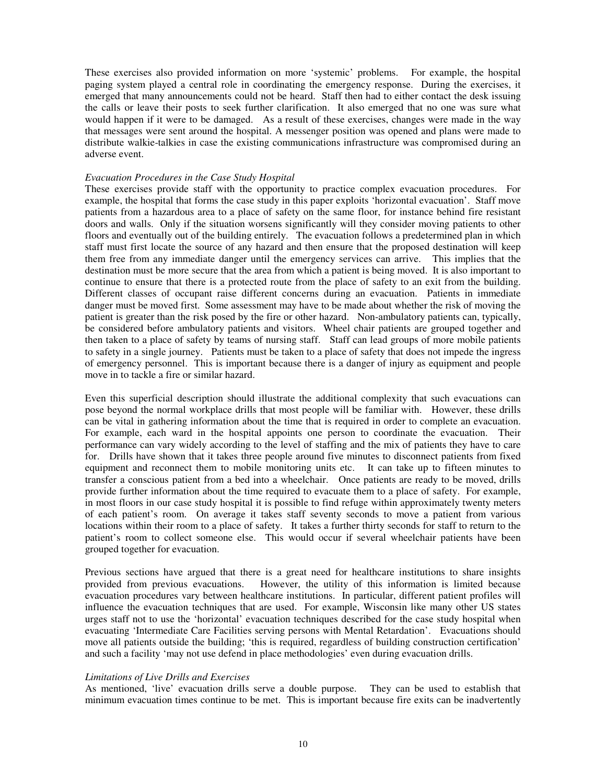These exercises also provided information on more 'systemic' problems. For example, the hospital paging system played a central role in coordinating the emergency response. During the exercises, it emerged that many announcements could not be heard. Staff then had to either contact the desk issuing the calls or leave their posts to seek further clarification. It also emerged that no one was sure what would happen if it were to be damaged. As a result of these exercises, changes were made in the way that messages were sent around the hospital. A messenger position was opened and plans were made to distribute walkie-talkies in case the existing communications infrastructure was compromised during an adverse event.

#### *Evacuation Procedures in the Case Study Hospital*

These exercises provide staff with the opportunity to practice complex evacuation procedures. For example, the hospital that forms the case study in this paper exploits 'horizontal evacuation'. Staff move patients from a hazardous area to a place of safety on the same floor, for instance behind fire resistant doors and walls. Only if the situation worsens significantly will they consider moving patients to other floors and eventually out of the building entirely. The evacuation follows a predetermined plan in which staff must first locate the source of any hazard and then ensure that the proposed destination will keep them free from any immediate danger until the emergency services can arrive. This implies that the destination must be more secure that the area from which a patient is being moved. It is also important to continue to ensure that there is a protected route from the place of safety to an exit from the building. Different classes of occupant raise different concerns during an evacuation. Patients in immediate danger must be moved first. Some assessment may have to be made about whether the risk of moving the patient is greater than the risk posed by the fire or other hazard. Non-ambulatory patients can, typically, be considered before ambulatory patients and visitors. Wheel chair patients are grouped together and then taken to a place of safety by teams of nursing staff. Staff can lead groups of more mobile patients to safety in a single journey. Patients must be taken to a place of safety that does not impede the ingress of emergency personnel. This is important because there is a danger of injury as equipment and people move in to tackle a fire or similar hazard.

Even this superficial description should illustrate the additional complexity that such evacuations can pose beyond the normal workplace drills that most people will be familiar with. However, these drills can be vital in gathering information about the time that is required in order to complete an evacuation. For example, each ward in the hospital appoints one person to coordinate the evacuation. Their performance can vary widely according to the level of staffing and the mix of patients they have to care for. Drills have shown that it takes three people around five minutes to disconnect patients from fixed equipment and reconnect them to mobile monitoring units etc. It can take up to fifteen minutes to transfer a conscious patient from a bed into a wheelchair. Once patients are ready to be moved, drills provide further information about the time required to evacuate them to a place of safety. For example, in most floors in our case study hospital it is possible to find refuge within approximately twenty meters of each patient's room. On average it takes staff seventy seconds to move a patient from various locations within their room to a place of safety. It takes a further thirty seconds for staff to return to the patient's room to collect someone else. This would occur if several wheelchair patients have been grouped together for evacuation.

Previous sections have argued that there is a great need for healthcare institutions to share insights provided from previous evacuations. However, the utility of this information is limited because evacuation procedures vary between healthcare institutions. In particular, different patient profiles will influence the evacuation techniques that are used. For example, Wisconsin like many other US states urges staff not to use the 'horizontal' evacuation techniques described for the case study hospital when evacuating 'Intermediate Care Facilities serving persons with Mental Retardation'. Evacuations should move all patients outside the building; 'this is required, regardless of building construction certification' and such a facility 'may not use defend in place methodologies' even during evacuation drills.

#### *Limitations of Live Drills and Exercises*

As mentioned, 'live' evacuation drills serve a double purpose. They can be used to establish that minimum evacuation times continue to be met. This is important because fire exits can be inadvertently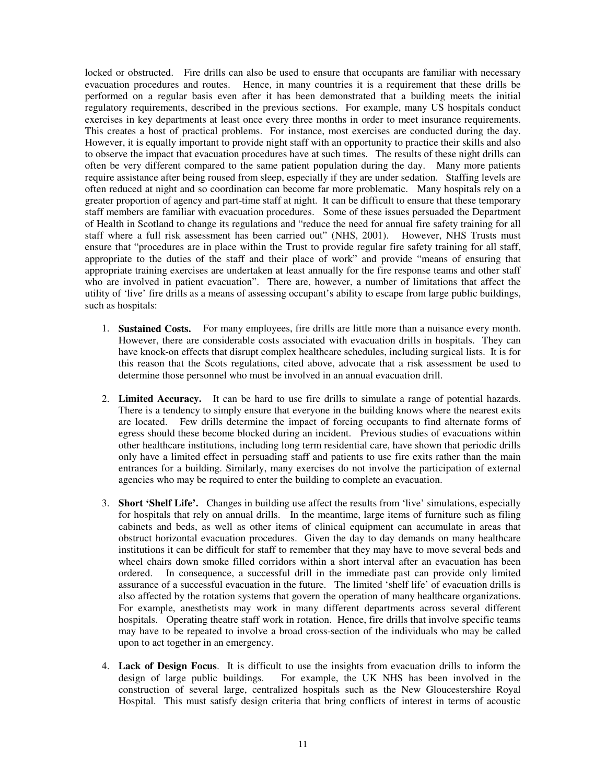locked or obstructed. Fire drills can also be used to ensure that occupants are familiar with necessary evacuation procedures and routes. Hence, in many countries it is a requirement that these drills be performed on a regular basis even after it has been demonstrated that a building meets the initial regulatory requirements, described in the previous sections. For example, many US hospitals conduct exercises in key departments at least once every three months in order to meet insurance requirements. This creates a host of practical problems. For instance, most exercises are conducted during the day. However, it is equally important to provide night staff with an opportunity to practice their skills and also to observe the impact that evacuation procedures have at such times. The results of these night drills can often be very different compared to the same patient population during the day. Many more patients require assistance after being roused from sleep, especially if they are under sedation. Staffing levels are often reduced at night and so coordination can become far more problematic. Many hospitals rely on a greater proportion of agency and part-time staff at night. It can be difficult to ensure that these temporary staff members are familiar with evacuation procedures. Some of these issues persuaded the Department of Health in Scotland to change its regulations and "reduce the need for annual fire safety training for all staff where a full risk assessment has been carried out" (NHS, 2001). However, NHS Trusts must ensure that "procedures are in place within the Trust to provide regular fire safety training for all staff, appropriate to the duties of the staff and their place of work" and provide "means of ensuring that appropriate training exercises are undertaken at least annually for the fire response teams and other staff who are involved in patient evacuation". There are, however, a number of limitations that affect the utility of 'live' fire drills as a means of assessing occupant's ability to escape from large public buildings, such as hospitals:

- 1. **Sustained Costs.** For many employees, fire drills are little more than a nuisance every month. However, there are considerable costs associated with evacuation drills in hospitals. They can have knock-on effects that disrupt complex healthcare schedules, including surgical lists. It is for this reason that the Scots regulations, cited above, advocate that a risk assessment be used to determine those personnel who must be involved in an annual evacuation drill.
- 2. **Limited Accuracy.** It can be hard to use fire drills to simulate a range of potential hazards. There is a tendency to simply ensure that everyone in the building knows where the nearest exits are located. Few drills determine the impact of forcing occupants to find alternate forms of egress should these become blocked during an incident. Previous studies of evacuations within other healthcare institutions, including long term residential care, have shown that periodic drills only have a limited effect in persuading staff and patients to use fire exits rather than the main entrances for a building. Similarly, many exercises do not involve the participation of external agencies who may be required to enter the building to complete an evacuation.
- 3. **Short 'Shelf Life'.** Changes in building use affect the results from 'live' simulations, especially for hospitals that rely on annual drills. In the meantime, large items of furniture such as filing cabinets and beds, as well as other items of clinical equipment can accumulate in areas that obstruct horizontal evacuation procedures. Given the day to day demands on many healthcare institutions it can be difficult for staff to remember that they may have to move several beds and wheel chairs down smoke filled corridors within a short interval after an evacuation has been ordered. In consequence, a successful drill in the immediate past can provide only limited assurance of a successful evacuation in the future. The limited 'shelf life' of evacuation drills is also affected by the rotation systems that govern the operation of many healthcare organizations. For example, anesthetists may work in many different departments across several different hospitals. Operating theatre staff work in rotation. Hence, fire drills that involve specific teams may have to be repeated to involve a broad cross-section of the individuals who may be called upon to act together in an emergency.
- 4. **Lack of Design Focus**. It is difficult to use the insights from evacuation drills to inform the design of large public buildings. For example, the UK NHS has been involved in the construction of several large, centralized hospitals such as the New Gloucestershire Royal Hospital. This must satisfy design criteria that bring conflicts of interest in terms of acoustic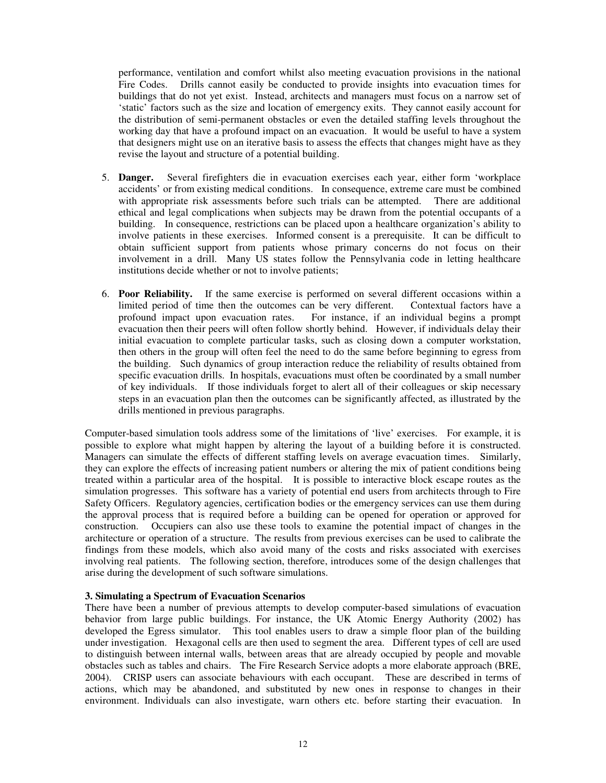performance, ventilation and comfort whilst also meeting evacuation provisions in the national Fire Codes. Drills cannot easily be conducted to provide insights into evacuation times for buildings that do not yet exist. Instead, architects and managers must focus on a narrow set of 'static' factors such as the size and location of emergency exits. They cannot easily account for the distribution of semi-permanent obstacles or even the detailed staffing levels throughout the working day that have a profound impact on an evacuation. It would be useful to have a system that designers might use on an iterative basis to assess the effects that changes might have as they revise the layout and structure of a potential building.

- 5. **Danger.** Several firefighters die in evacuation exercises each year, either form 'workplace accidents' or from existing medical conditions. In consequence, extreme care must be combined with appropriate risk assessments before such trials can be attempted. There are additional ethical and legal complications when subjects may be drawn from the potential occupants of a building. In consequence, restrictions can be placed upon a healthcare organization's ability to involve patients in these exercises. Informed consent is a prerequisite. It can be difficult to obtain sufficient support from patients whose primary concerns do not focus on their involvement in a drill. Many US states follow the Pennsylvania code in letting healthcare institutions decide whether or not to involve patients;
- 6. **Poor Reliability.** If the same exercise is performed on several different occasions within a limited period of time then the outcomes can be very different. Contextual factors have a profound impact upon evacuation rates. For instance, if an individual begins a prompt evacuation then their peers will often follow shortly behind. However, if individuals delay their initial evacuation to complete particular tasks, such as closing down a computer workstation, then others in the group will often feel the need to do the same before beginning to egress from the building. Such dynamics of group interaction reduce the reliability of results obtained from specific evacuation drills. In hospitals, evacuations must often be coordinated by a small number of key individuals. If those individuals forget to alert all of their colleagues or skip necessary steps in an evacuation plan then the outcomes can be significantly affected, as illustrated by the drills mentioned in previous paragraphs.

Computer-based simulation tools address some of the limitations of 'live' exercises. For example, it is possible to explore what might happen by altering the layout of a building before it is constructed. Managers can simulate the effects of different staffing levels on average evacuation times. Similarly, they can explore the effects of increasing patient numbers or altering the mix of patient conditions being treated within a particular area of the hospital. It is possible to interactive block escape routes as the simulation progresses. This software has a variety of potential end users from architects through to Fire Safety Officers. Regulatory agencies, certification bodies or the emergency services can use them during the approval process that is required before a building can be opened for operation or approved for construction. Occupiers can also use these tools to examine the potential impact of changes in the architecture or operation of a structure. The results from previous exercises can be used to calibrate the findings from these models, which also avoid many of the costs and risks associated with exercises involving real patients. The following section, therefore, introduces some of the design challenges that arise during the development of such software simulations.

### **3. Simulating a Spectrum of Evacuation Scenarios**

There have been a number of previous attempts to develop computer-based simulations of evacuation behavior from large public buildings. For instance, the UK Atomic Energy Authority (2002) has developed the Egress simulator. This tool enables users to draw a simple floor plan of the building under investigation. Hexagonal cells are then used to segment the area. Different types of cell are used to distinguish between internal walls, between areas that are already occupied by people and movable obstacles such as tables and chairs. The Fire Research Service adopts a more elaborate approach (BRE, 2004). CRISP users can associate behaviours with each occupant. These are described in terms of actions, which may be abandoned, and substituted by new ones in response to changes in their environment. Individuals can also investigate, warn others etc. before starting their evacuation. In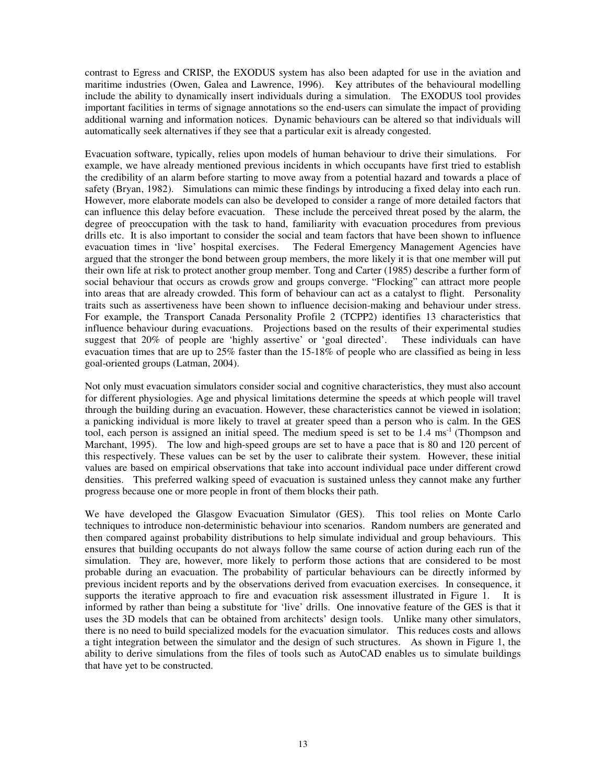contrast to Egress and CRISP, the EXODUS system has also been adapted for use in the aviation and maritime industries (Owen, Galea and Lawrence, 1996). Key attributes of the behavioural modelling include the ability to dynamically insert individuals during a simulation. The EXODUS tool provides important facilities in terms of signage annotations so the end-users can simulate the impact of providing additional warning and information notices. Dynamic behaviours can be altered so that individuals will automatically seek alternatives if they see that a particular exit is already congested.

Evacuation software, typically, relies upon models of human behaviour to drive their simulations. For example, we have already mentioned previous incidents in which occupants have first tried to establish the credibility of an alarm before starting to move away from a potential hazard and towards a place of safety (Bryan, 1982). Simulations can mimic these findings by introducing a fixed delay into each run. However, more elaborate models can also be developed to consider a range of more detailed factors that can influence this delay before evacuation. These include the perceived threat posed by the alarm, the degree of preoccupation with the task to hand, familiarity with evacuation procedures from previous drills etc. It is also important to consider the social and team factors that have been shown to influence evacuation times in 'live' hospital exercises. The Federal Emergency Management Agencies have The Federal Emergency Management Agencies have argued that the stronger the bond between group members, the more likely it is that one member will put their own life at risk to protect another group member. Tong and Carter (1985) describe a further form of social behaviour that occurs as crowds grow and groups converge. "Flocking" can attract more people into areas that are already crowded. This form of behaviour can act as a catalyst to flight. Personality traits such as assertiveness have been shown to influence decision-making and behaviour under stress. For example, the Transport Canada Personality Profile 2 (TCPP2) identifies 13 characteristics that influence behaviour during evacuations. Projections based on the results of their experimental studies suggest that 20% of people are 'highly assertive' or 'goal directed'. These individuals can have evacuation times that are up to 25% faster than the 15-18% of people who are classified as being in less goal-oriented groups (Latman, 2004).

Not only must evacuation simulators consider social and cognitive characteristics, they must also account for different physiologies. Age and physical limitations determine the speeds at which people will travel through the building during an evacuation. However, these characteristics cannot be viewed in isolation; a panicking individual is more likely to travel at greater speed than a person who is calm. In the GES tool, each person is assigned an initial speed. The medium speed is set to be 1.4 ms<sup>-1</sup> (Thompson and Marchant, 1995). The low and high-speed groups are set to have a pace that is 80 and 120 percent of this respectively. These values can be set by the user to calibrate their system. However, these initial values are based on empirical observations that take into account individual pace under different crowd densities. This preferred walking speed of evacuation is sustained unless they cannot make any further progress because one or more people in front of them blocks their path.

We have developed the Glasgow Evacuation Simulator (GES). This tool relies on Monte Carlo techniques to introduce non-deterministic behaviour into scenarios. Random numbers are generated and then compared against probability distributions to help simulate individual and group behaviours. This ensures that building occupants do not always follow the same course of action during each run of the simulation. They are, however, more likely to perform those actions that are considered to be most probable during an evacuation. The probability of particular behaviours can be directly informed by previous incident reports and by the observations derived from evacuation exercises. In consequence, it supports the iterative approach to fire and evacuation risk assessment illustrated in Figure 1. It is informed by rather than being a substitute for 'live' drills. One innovative feature of the GES is that it uses the 3D models that can be obtained from architects' design tools. Unlike many other simulators, there is no need to build specialized models for the evacuation simulator. This reduces costs and allows a tight integration between the simulator and the design of such structures. As shown in Figure 1, the ability to derive simulations from the files of tools such as AutoCAD enables us to simulate buildings that have yet to be constructed.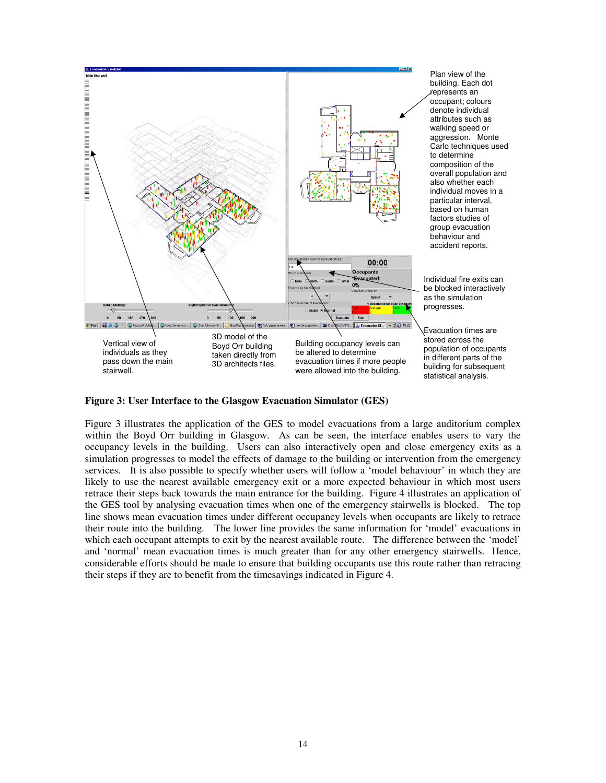

**Figure 3: User Interface to the Glasgow Evacuation Simulator (GES)**

Figure 3 illustrates the application of the GES to model evacuations from a large auditorium complex within the Boyd Orr building in Glasgow. As can be seen, the interface enables users to vary the occupancy levels in the building. Users can also interactively open and close emergency exits as a simulation progresses to model the effects of damage to the building or intervention from the emergency services. It is also possible to specify whether users will follow a 'model behaviour' in which they are likely to use the nearest available emergency exit or a more expected behaviour in which most users retrace their steps back towards the main entrance for the building. Figure 4 illustrates an application of the GES tool by analysing evacuation times when one of the emergency stairwells is blocked. The top line shows mean evacuation times under different occupancy levels when occupants are likely to retrace their route into the building. The lower line provides the same information for 'model' evacuations in which each occupant attempts to exit by the nearest available route. The difference between the 'model' and 'normal' mean evacuation times is much greater than for any other emergency stairwells. Hence, considerable efforts should be made to ensure that building occupants use this route rather than retracing their steps if they are to benefit from the timesavings indicated in Figure 4.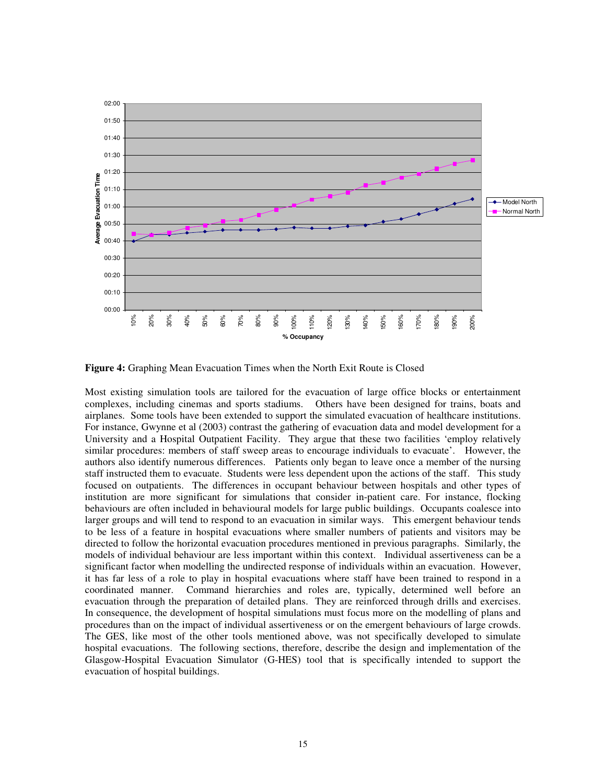

**Figure 4:** Graphing Mean Evacuation Times when the North Exit Route is Closed

Most existing simulation tools are tailored for the evacuation of large office blocks or entertainment complexes, including cinemas and sports stadiums. Others have been designed for trains, boats and airplanes. Some tools have been extended to support the simulated evacuation of healthcare institutions. For instance, Gwynne et al (2003) contrast the gathering of evacuation data and model development for a University and a Hospital Outpatient Facility. They argue that these two facilities 'employ relatively similar procedures: members of staff sweep areas to encourage individuals to evacuate'. However, the authors also identify numerous differences. Patients only began to leave once a member of the nursing staff instructed them to evacuate. Students were less dependent upon the actions of the staff. This study focused on outpatients. The differences in occupant behaviour between hospitals and other types of institution are more significant for simulations that consider in-patient care. For instance, flocking behaviours are often included in behavioural models for large public buildings. Occupants coalesce into larger groups and will tend to respond to an evacuation in similar ways. This emergent behaviour tends to be less of a feature in hospital evacuations where smaller numbers of patients and visitors may be directed to follow the horizontal evacuation procedures mentioned in previous paragraphs. Similarly, the models of individual behaviour are less important within this context. Individual assertiveness can be a significant factor when modelling the undirected response of individuals within an evacuation. However, it has far less of a role to play in hospital evacuations where staff have been trained to respond in a coordinated manner. Command hierarchies and roles are, typically, determined well before an evacuation through the preparation of detailed plans. They are reinforced through drills and exercises. In consequence, the development of hospital simulations must focus more on the modelling of plans and procedures than on the impact of individual assertiveness or on the emergent behaviours of large crowds. The GES, like most of the other tools mentioned above, was not specifically developed to simulate hospital evacuations. The following sections, therefore, describe the design and implementation of the Glasgow-Hospital Evacuation Simulator (G-HES) tool that is specifically intended to support the evacuation of hospital buildings.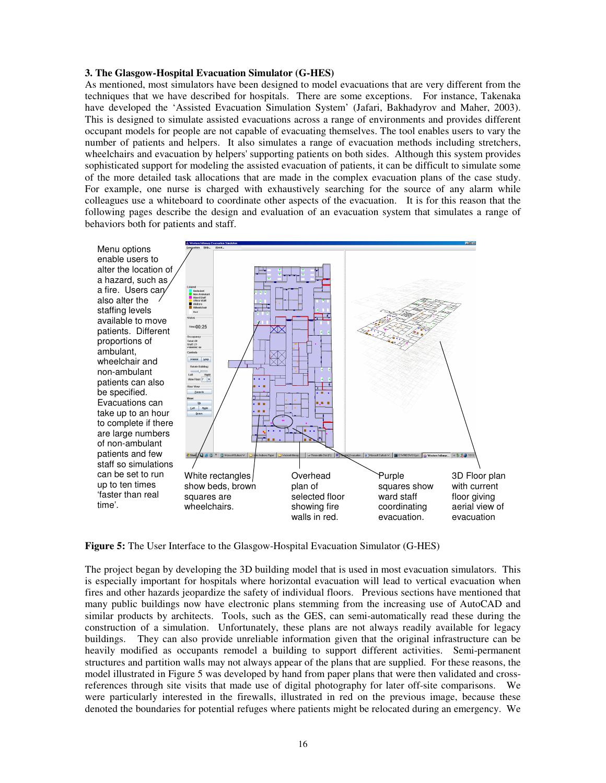#### **3. The Glasgow-Hospital Evacuation Simulator (G-HES)**

As mentioned, most simulators have been designed to model evacuations that are very different from the techniques that we have described for hospitals. There are some exceptions. For instance, Takenaka have developed the 'Assisted Evacuation Simulation System' (Jafari, Bakhadyrov and Maher, 2003). This is designed to simulate assisted evacuations across a range of environments and provides different occupant models for people are not capable of evacuating themselves. The tool enables users to vary the number of patients and helpers. It also simulates a range of evacuation methods including stretchers, wheelchairs and evacuation by helpers'supporting patients on both sides. Although this system provides sophisticated support for modeling the assisted evacuation of patients, it can be difficult to simulate some of the more detailed task allocations that are made in the complex evacuation plans of the case study. For example, one nurse is charged with exhaustively searching for the source of any alarm while colleagues use a whiteboard to coordinate other aspects of the evacuation. It is for this reason that the following pages describe the design and evaluation of an evacuation system that simulates a range of behaviors both for patients and staff.



**Figure 5:** The User Interface to the Glasgow-Hospital Evacuation Simulator (G-HES)

The project began by developing the 3D building model that is used in most evacuation simulators. This is especially important for hospitals where horizontal evacuation will lead to vertical evacuation when fires and other hazards jeopardize the safety of individual floors. Previous sections have mentioned that many public buildings now have electronic plans stemming from the increasing use of AutoCAD and similar products by architects. Tools, such as the GES, can semi-automatically read these during the construction of a simulation. Unfortunately, these plans are not always readily available for legacy buildings. They can also provide unreliable information given that the original infrastructure can be heavily modified as occupants remodel a building to support different activities. Semi-permanent structures and partition walls may not always appear of the plans that are supplied. For these reasons, the model illustrated in Figure 5 was developed by hand from paper plans that were then validated and crossreferences through site visits that made use of digital photography for later off-site comparisons. We were particularly interested in the firewalls, illustrated in red on the previous image, because these denoted the boundaries for potential refuges where patients might be relocated during an emergency. We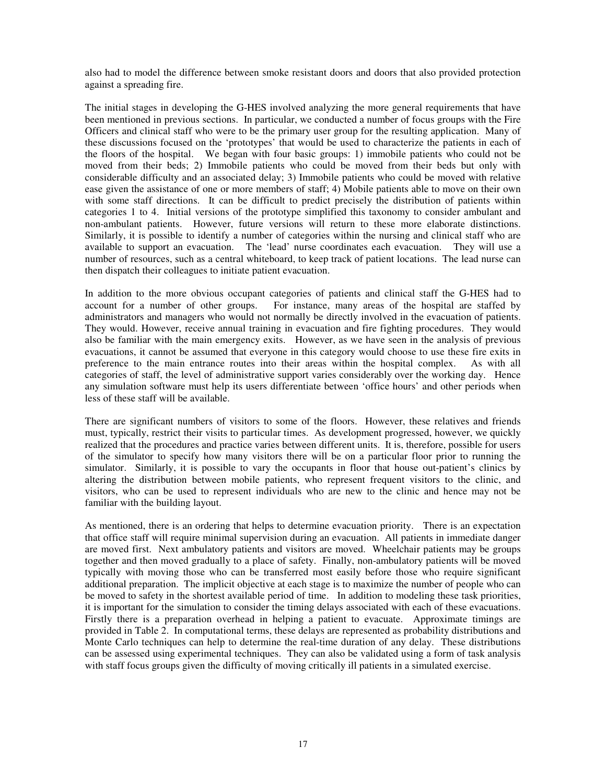also had to model the difference between smoke resistant doors and doors that also provided protection against a spreading fire.

The initial stages in developing the G-HES involved analyzing the more general requirements that have been mentioned in previous sections. In particular, we conducted a number of focus groups with the Fire Officers and clinical staff who were to be the primary user group for the resulting application. Many of these discussions focused on the 'prototypes' that would be used to characterize the patients in each of the floors of the hospital. We began with four basic groups: 1) immobile patients who could not be moved from their beds; 2) Immobile patients who could be moved from their beds but only with considerable difficulty and an associated delay; 3) Immobile patients who could be moved with relative ease given the assistance of one or more members of staff; 4) Mobile patients able to move on their own with some staff directions. It can be difficult to predict precisely the distribution of patients within categories 1 to 4. Initial versions of the prototype simplified this taxonomy to consider ambulant and non-ambulant patients. However, future versions will return to these more elaborate distinctions. Similarly, it is possible to identify a number of categories within the nursing and clinical staff who are available to support an evacuation. The 'lead' nurse coordinates each evacuation. They will use a number of resources, such as a central whiteboard, to keep track of patient locations. The lead nurse can then dispatch their colleagues to initiate patient evacuation.

In addition to the more obvious occupant categories of patients and clinical staff the G-HES had to account for a number of other groups. For instance, many areas of the hospital are staffed by For instance, many areas of the hospital are staffed by administrators and managers who would not normally be directly involved in the evacuation of patients. They would. However, receive annual training in evacuation and fire fighting procedures. They would also be familiar with the main emergency exits. However, as we have seen in the analysis of previous evacuations, it cannot be assumed that everyone in this category would choose to use these fire exits in preference to the main entrance routes into their areas within the hospital complex. As with all categories of staff, the level of administrative support varies considerably over the working day. Hence any simulation software must help its users differentiate between 'office hours' and other periods when less of these staff will be available.

There are significant numbers of visitors to some of the floors. However, these relatives and friends must, typically, restrict their visits to particular times. As development progressed, however, we quickly realized that the procedures and practice varies between different units. It is, therefore, possible for users of the simulator to specify how many visitors there will be on a particular floor prior to running the simulator. Similarly, it is possible to vary the occupants in floor that house out-patient's clinics by altering the distribution between mobile patients, who represent frequent visitors to the clinic, and visitors, who can be used to represent individuals who are new to the clinic and hence may not be familiar with the building layout.

As mentioned, there is an ordering that helps to determine evacuation priority. There is an expectation that office staff will require minimal supervision during an evacuation. All patients in immediate danger are moved first. Next ambulatory patients and visitors are moved. Wheelchair patients may be groups together and then moved gradually to a place of safety. Finally, non-ambulatory patients will be moved typically with moving those who can be transferred most easily before those who require significant additional preparation. The implicit objective at each stage is to maximize the number of people who can be moved to safety in the shortest available period of time. In addition to modeling these task priorities, it is important for the simulation to consider the timing delays associated with each of these evacuations. Firstly there is a preparation overhead in helping a patient to evacuate. Approximate timings are provided in Table 2. In computational terms, these delays are represented as probability distributions and Monte Carlo techniques can help to determine the real-time duration of any delay. These distributions can be assessed using experimental techniques. They can also be validated using a form of task analysis with staff focus groups given the difficulty of moving critically ill patients in a simulated exercise.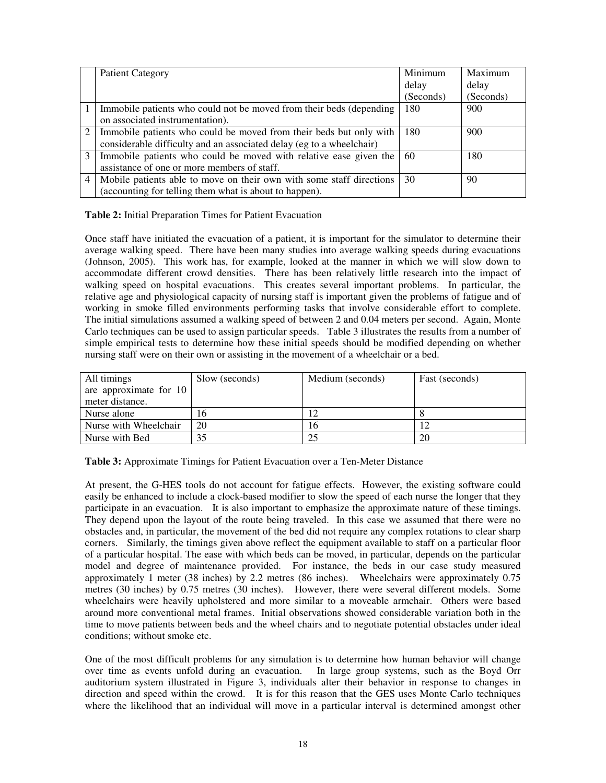|   | <b>Patient Category</b>                                              | Minimum   | Maximum   |
|---|----------------------------------------------------------------------|-----------|-----------|
|   |                                                                      | delay     | delay     |
|   |                                                                      | (Seconds) | (Seconds) |
|   | Immobile patients who could not be moved from their beds (depending  | 180       | 900       |
|   | on associated instrumentation).                                      |           |           |
|   | Immobile patients who could be moved from their beds but only with   | 180       | 900       |
|   | considerable difficulty and an associated delay (eg to a wheelchair) |           |           |
| 3 | Immobile patients who could be moved with relative ease given the    | 60        | 180       |
|   | assistance of one or more members of staff.                          |           |           |
| 4 | Mobile patients able to move on their own with some staff directions | 30        | 90        |
|   | (accounting for telling them what is about to happen).               |           |           |

**Table 2:** Initial Preparation Times for Patient Evacuation

Once staff have initiated the evacuation of a patient, it is important for the simulator to determine their average walking speed. There have been many studies into average walking speeds during evacuations (Johnson, 2005). This work has, for example, looked at the manner in which we will slow down to accommodate different crowd densities. There has been relatively little research into the impact of walking speed on hospital evacuations. This creates several important problems. In particular, the relative age and physiological capacity of nursing staff is important given the problems of fatigue and of working in smoke filled environments performing tasks that involve considerable effort to complete. The initial simulations assumed a walking speed of between 2 and 0.04 meters per second. Again, Monte Carlo techniques can be used to assign particular speeds. Table 3 illustrates the results from a number of simple empirical tests to determine how these initial speeds should be modified depending on whether nursing staff were on their own or assisting in the movement of a wheelchair or a bed.

| All timings            | Slow (seconds) | Medium (seconds) | Fast (seconds) |
|------------------------|----------------|------------------|----------------|
| are approximate for 10 |                |                  |                |
| meter distance.        |                |                  |                |
| Nurse alone            | 16             |                  |                |
| Nurse with Wheelchair  | 20             | 16               |                |
| Nurse with Bed         | 35             | 25               | 20             |

**Table 3:** Approximate Timings for Patient Evacuation over a Ten-Meter Distance

At present, the G-HES tools do not account for fatigue effects. However, the existing software could easily be enhanced to include a clock-based modifier to slow the speed of each nurse the longer that they participate in an evacuation. It is also important to emphasize the approximate nature of these timings. They depend upon the layout of the route being traveled. In this case we assumed that there were no obstacles and, in particular, the movement of the bed did not require any complex rotations to clear sharp corners. Similarly, the timings given above reflect the equipment available to staff on a particular floor of a particular hospital. The ease with which beds can be moved, in particular, depends on the particular model and degree of maintenance provided. For instance, the beds in our case study measured approximately 1 meter (38 inches) by 2.2 metres (86 inches). Wheelchairs were approximately 0.75 metres (30 inches) by 0.75 metres (30 inches). However, there were several different models. Some wheelchairs were heavily upholstered and more similar to a moveable armchair. Others were based around more conventional metal frames. Initial observations showed considerable variation both in the time to move patients between beds and the wheel chairs and to negotiate potential obstacles under ideal conditions; without smoke etc.

One of the most difficult problems for any simulation is to determine how human behavior will change over time as events unfold during an evacuation. In large group systems, such as the Boyd Orr auditorium system illustrated in Figure 3, individuals alter their behavior in response to changes in direction and speed within the crowd. It is for this reason that the GES uses Monte Carlo techniques where the likelihood that an individual will move in a particular interval is determined amongst other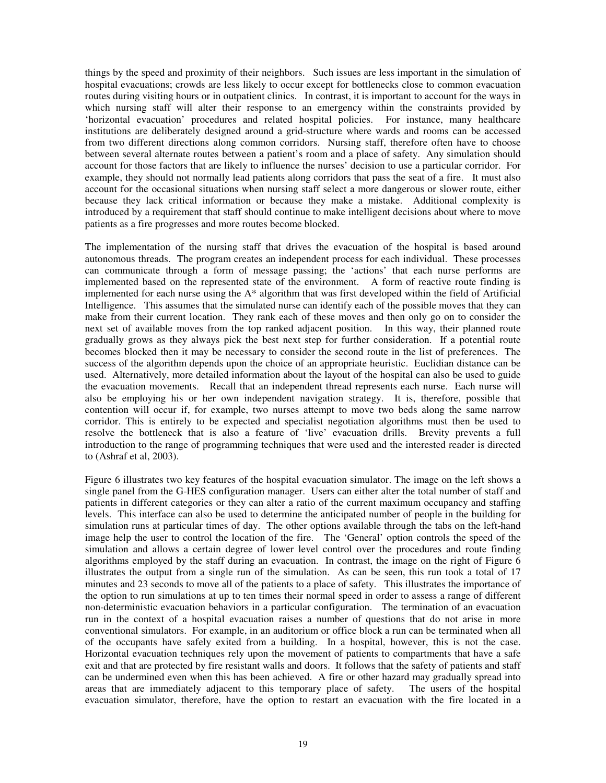things by the speed and proximity of their neighbors. Such issues are less important in the simulation of hospital evacuations; crowds are less likely to occur except for bottlenecks close to common evacuation routes during visiting hours or in outpatient clinics. In contrast, it is important to account for the ways in which nursing staff will alter their response to an emergency within the constraints provided by 'horizontal evacuation' procedures and related hospital policies. For instance, many healthcare institutions are deliberately designed around a grid-structure where wards and rooms can be accessed from two different directions along common corridors. Nursing staff, therefore often have to choose between several alternate routes between a patient's room and a place of safety. Any simulation should account for those factors that are likely to influence the nurses' decision to use a particular corridor. For example, they should not normally lead patients along corridors that pass the seat of a fire. It must also account for the occasional situations when nursing staff select a more dangerous or slower route, either because they lack critical information or because they make a mistake. Additional complexity is introduced by a requirement that staff should continue to make intelligent decisions about where to move patients as a fire progresses and more routes become blocked.

The implementation of the nursing staff that drives the evacuation of the hospital is based around autonomous threads. The program creates an independent process for each individual. These processes can communicate through a form of message passing; the 'actions' that each nurse performs are implemented based on the represented state of the environment. A form of reactive route finding is implemented for each nurse using the A\* algorithm that was first developed within the field of Artificial Intelligence. This assumes that the simulated nurse can identify each of the possible moves that they can make from their current location. They rank each of these moves and then only go on to consider the next set of available moves from the top ranked adjacent position. In this way, their planned route gradually grows as they always pick the best next step for further consideration. If a potential route becomes blocked then it may be necessary to consider the second route in the list of preferences. The success of the algorithm depends upon the choice of an appropriate heuristic. Euclidian distance can be used. Alternatively, more detailed information about the layout of the hospital can also be used to guide the evacuation movements. Recall that an independent thread represents each nurse. Each nurse will also be employing his or her own independent navigation strategy. It is, therefore, possible that contention will occur if, for example, two nurses attempt to move two beds along the same narrow corridor. This is entirely to be expected and specialist negotiation algorithms must then be used to resolve the bottleneck that is also a feature of 'live' evacuation drills. Brevity prevents a full introduction to the range of programming techniques that were used and the interested reader is directed to (Ashraf et al, 2003).

Figure 6 illustrates two key features of the hospital evacuation simulator. The image on the left shows a single panel from the G-HES configuration manager. Users can either alter the total number of staff and patients in different categories or they can alter a ratio of the current maximum occupancy and staffing levels. This interface can also be used to determine the anticipated number of people in the building for simulation runs at particular times of day. The other options available through the tabs on the left-hand image help the user to control the location of the fire. The 'General' option controls the speed of the simulation and allows a certain degree of lower level control over the procedures and route finding algorithms employed by the staff during an evacuation. In contrast, the image on the right of Figure 6 illustrates the output from a single run of the simulation. As can be seen, this run took a total of 17 minutes and 23 seconds to move all of the patients to a place of safety. This illustrates the importance of the option to run simulations at up to ten times their normal speed in order to assess a range of different non-deterministic evacuation behaviors in a particular configuration. The termination of an evacuation run in the context of a hospital evacuation raises a number of questions that do not arise in more conventional simulators. For example, in an auditorium or office block a run can be terminated when all of the occupants have safely exited from a building. In a hospital, however, this is not the case. Horizontal evacuation techniques rely upon the movement of patients to compartments that have a safe exit and that are protected by fire resistant walls and doors. It follows that the safety of patients and staff can be undermined even when this has been achieved. A fire or other hazard may gradually spread into areas that are immediately adjacent to this temporary place of safety. The users of the hospital evacuation simulator, therefore, have the option to restart an evacuation with the fire located in a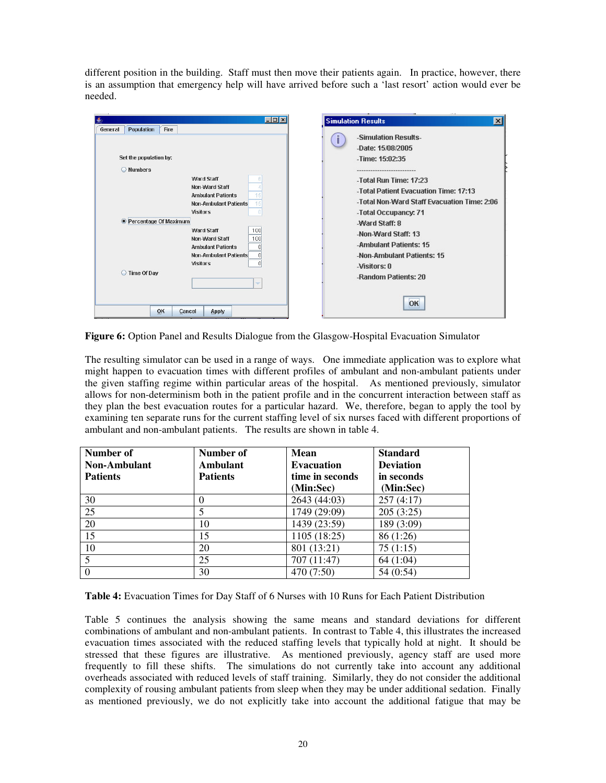different position in the building. Staff must then move their patients again. In practice, however, there is an assumption that emergency help will have arrived before such a 'last resort' action would ever be needed.

| $\Box$ D $\Box$<br>Population<br>Fire<br>General<br>Set the population by:<br>O Numbers<br><b>Ward Staff</b><br>Non-Ward Staff<br><b>Ambulant Patients</b><br><b>Non-Ambulant Patients</b><br><b>Visitors</b><br><b>• Percentage Of Maximum</b><br>100<br><b>Ward Staff</b><br>Non-Ward Staff<br>100<br><b>Ambulant Patients</b><br><b>Non-Ambulant Patients</b><br><b>Visitors</b><br>◯ Time Of Day<br>÷ | <b>Simulation Results</b><br>$\vert x \vert$<br>-Simulation Results-<br>-Date: 15/08/2005<br>-Time: 15:02:35<br>-Total Run Time: 17:23<br>-Total Patient Evacuation Time: 17:13<br>-Total Non-Ward Staff Evacuation Time: 2:06<br>-Total Occupancy: 71<br>-Ward Staff: 8<br>-Non-Ward Staff: 13<br>-Ambulant Patients: 15<br>-Non-Ambulant Patients: 15<br>-Visitors: 0<br>-Random Patients: 20 |
|-----------------------------------------------------------------------------------------------------------------------------------------------------------------------------------------------------------------------------------------------------------------------------------------------------------------------------------------------------------------------------------------------------------|-------------------------------------------------------------------------------------------------------------------------------------------------------------------------------------------------------------------------------------------------------------------------------------------------------------------------------------------------------------------------------------------------|
| OK<br>Cancel<br>Apply                                                                                                                                                                                                                                                                                                                                                                                     | OK                                                                                                                                                                                                                                                                                                                                                                                              |

**Figure 6:** Option Panel and Results Dialogue from the Glasgow-Hospital Evacuation Simulator

The resulting simulator can be used in a range of ways. One immediate application was to explore what might happen to evacuation times with different profiles of ambulant and non-ambulant patients under the given staffing regime within particular areas of the hospital. As mentioned previously, simulator allows for non-determinism both in the patient profile and in the concurrent interaction between staff as they plan the best evacuation routes for a particular hazard. We, therefore, began to apply the tool by examining ten separate runs for the current staffing level of six nurses faced with different proportions of ambulant and non-ambulant patients. The results are shown in table 4.

| Number of<br>Non-Ambulant | Number of<br>Ambulant | Mean<br><b>Evacuation</b> | <b>Standard</b><br><b>Deviation</b> |
|---------------------------|-----------------------|---------------------------|-------------------------------------|
| <b>Patients</b>           | <b>Patients</b>       | time in seconds           | in seconds                          |
|                           |                       | (Min:Sec)                 | (Min:Sec)                           |
| 30                        | 0                     | 2643 (44:03)              | 257(4:17)                           |
| 25                        |                       | 1749 (29:09)              | 205(3:25)                           |
| 20                        | 10                    | 1439 (23:59)              | 189 (3:09)                          |
| 15                        | 15                    | 1105 (18:25)              | 86 (1:26)                           |
| 10                        | 20                    | 801 (13:21)               | 75(1:15)                            |
|                           | 25                    | 707 (11:47)               | 64 (1:04)                           |
|                           | 30                    | 470 (7:50)                | 54 (0:54)                           |

**Table 4:** Evacuation Times for Day Staff of 6 Nurses with 10 Runs for Each Patient Distribution

Table 5 continues the analysis showing the same means and standard deviations for different combinations of ambulant and non-ambulant patients. In contrast to Table 4, this illustrates the increased evacuation times associated with the reduced staffing levels that typically hold at night. It should be stressed that these figures are illustrative. As mentioned previously, agency staff are used more frequently to fill these shifts. The simulations do not currently take into account any additional overheads associated with reduced levels of staff training. Similarly, they do not consider the additional complexity of rousing ambulant patients from sleep when they may be under additional sedation. Finally as mentioned previously, we do not explicitly take into account the additional fatigue that may be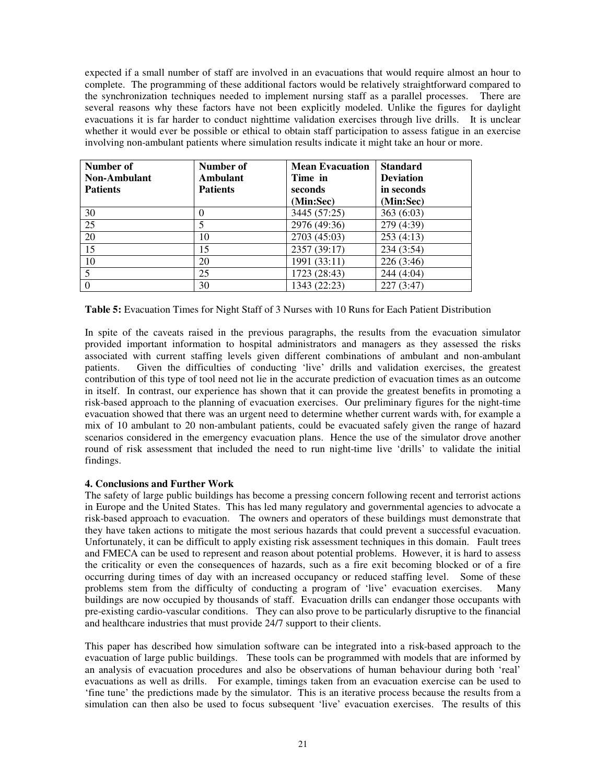expected if a small number of staff are involved in an evacuations that would require almost an hour to complete. The programming of these additional factors would be relatively straightforward compared to the synchronization techniques needed to implement nursing staff as a parallel processes. There are several reasons why these factors have not been explicitly modeled. Unlike the figures for daylight evacuations it is far harder to conduct nighttime validation exercises through live drills. It is unclear whether it would ever be possible or ethical to obtain staff participation to assess fatigue in an exercise involving non-ambulant patients where simulation results indicate it might take an hour or more.

| Number of<br><b>Non-Ambulant</b><br><b>Patients</b> | Number of<br>Ambulant<br><b>Patients</b> | <b>Mean Evacuation</b><br>Time in<br>seconds<br>(Min:Sec) | <b>Standard</b><br><b>Deviation</b><br>in seconds<br>(Min:Sec) |
|-----------------------------------------------------|------------------------------------------|-----------------------------------------------------------|----------------------------------------------------------------|
| 30                                                  |                                          | 3445 (57:25)                                              | 363(6:03)                                                      |
| 25                                                  |                                          | 2976 (49:36)                                              | 279 (4:39)                                                     |
| 20                                                  | 10                                       | 2703 (45:03)                                              | 253(4:13)                                                      |
| 15                                                  | 15                                       | 2357 (39:17)                                              | 234 (3:54)                                                     |
| 10                                                  | 20                                       | 1991 (33:11)                                              | 226 (3:46)                                                     |
|                                                     | 25                                       | 1723 (28:43)                                              | 244 (4:04)                                                     |
|                                                     | 30                                       | 1343 (22:23)                                              | 227(3:47)                                                      |

**Table 5:** Evacuation Times for Night Staff of 3 Nurses with 10 Runs for Each Patient Distribution

In spite of the caveats raised in the previous paragraphs, the results from the evacuation simulator provided important information to hospital administrators and managers as they assessed the risks associated with current staffing levels given different combinations of ambulant and non-ambulant patients. Given the difficulties of conducting 'live' drills and validation exercises, the greatest contribution of this type of tool need not lie in the accurate prediction of evacuation times as an outcome in itself. In contrast, our experience has shown that it can provide the greatest benefits in promoting a risk-based approach to the planning of evacuation exercises. Our preliminary figures for the night-time evacuation showed that there was an urgent need to determine whether current wards with, for example a mix of 10 ambulant to 20 non-ambulant patients, could be evacuated safely given the range of hazard scenarios considered in the emergency evacuation plans. Hence the use of the simulator drove another round of risk assessment that included the need to run night-time live 'drills' to validate the initial findings.

## **4. Conclusions and Further Work**

The safety of large public buildings has become a pressing concern following recent and terrorist actions in Europe and the United States. This has led many regulatory and governmental agencies to advocate a risk-based approach to evacuation. The owners and operators of these buildings must demonstrate that they have taken actions to mitigate the most serious hazards that could prevent a successful evacuation. Unfortunately, it can be difficult to apply existing risk assessment techniques in this domain. Fault trees and FMECA can be used to represent and reason about potential problems. However, it is hard to assess the criticality or even the consequences of hazards, such as a fire exit becoming blocked or of a fire occurring during times of day with an increased occupancy or reduced staffing level. Some of these problems stem from the difficulty of conducting a program of 'live' evacuation exercises. Many buildings are now occupied by thousands of staff. Evacuation drills can endanger those occupants with pre-existing cardio-vascular conditions. They can also prove to be particularly disruptive to the financial and healthcare industries that must provide 24/7 support to their clients.

This paper has described how simulation software can be integrated into a risk-based approach to the evacuation of large public buildings. These tools can be programmed with models that are informed by an analysis of evacuation procedures and also be observations of human behaviour during both 'real' evacuations as well as drills. For example, timings taken from an evacuation exercise can be used to 'fine tune' the predictions made by the simulator. This is an iterative process because the results from a simulation can then also be used to focus subsequent 'live' evacuation exercises. The results of this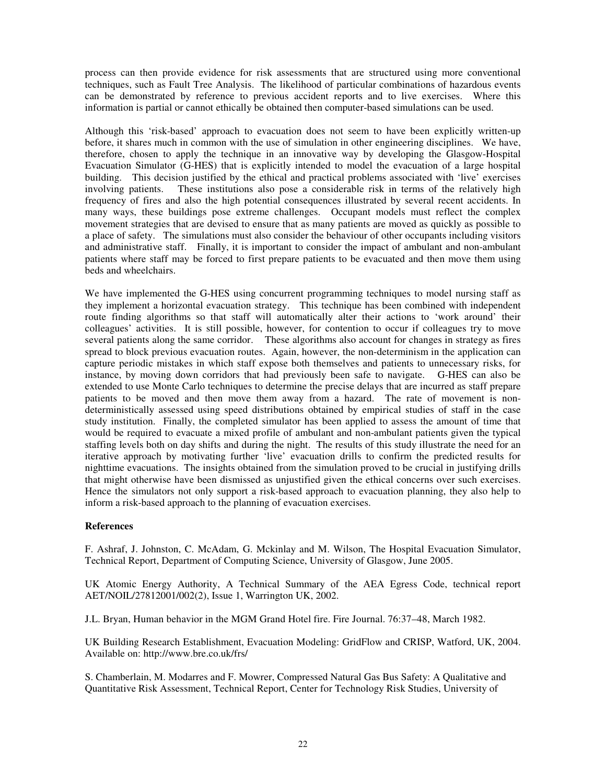process can then provide evidence for risk assessments that are structured using more conventional techniques, such as Fault Tree Analysis. The likelihood of particular combinations of hazardous events can be demonstrated by reference to previous accident reports and to live exercises. Where this information is partial or cannot ethically be obtained then computer-based simulations can be used.

Although this 'risk-based' approach to evacuation does not seem to have been explicitly written-up before, it shares much in common with the use of simulation in other engineering disciplines. We have, therefore, chosen to apply the technique in an innovative way by developing the Glasgow-Hospital Evacuation Simulator (G-HES) that is explicitly intended to model the evacuation of a large hospital building. This decision justified by the ethical and practical problems associated with 'live' exercises involving patients. These institutions also pose a considerable risk in terms of the relatively high frequency of fires and also the high potential consequences illustrated by several recent accidents. In many ways, these buildings pose extreme challenges. Occupant models must reflect the complex movement strategies that are devised to ensure that as many patients are moved as quickly as possible to a place of safety. The simulations must also consider the behaviour of other occupants including visitors and administrative staff. Finally, it is important to consider the impact of ambulant and non-ambulant patients where staff may be forced to first prepare patients to be evacuated and then move them using beds and wheelchairs.

We have implemented the G-HES using concurrent programming techniques to model nursing staff as they implement a horizontal evacuation strategy. This technique has been combined with independent route finding algorithms so that staff will automatically alter their actions to 'work around' their colleagues' activities. It is still possible, however, for contention to occur if colleagues try to move several patients along the same corridor. These algorithms also account for changes in strategy as fires spread to block previous evacuation routes. Again, however, the non-determinism in the application can capture periodic mistakes in which staff expose both themselves and patients to unnecessary risks, for instance, by moving down corridors that had previously been safe to navigate. G-HES can also be extended to use Monte Carlo techniques to determine the precise delays that are incurred as staff prepare patients to be moved and then move them away from a hazard. The rate of movement is nondeterministically assessed using speed distributions obtained by empirical studies of staff in the case study institution. Finally, the completed simulator has been applied to assess the amount of time that would be required to evacuate a mixed profile of ambulant and non-ambulant patients given the typical staffing levels both on day shifts and during the night. The results of this study illustrate the need for an iterative approach by motivating further 'live' evacuation drills to confirm the predicted results for nighttime evacuations. The insights obtained from the simulation proved to be crucial in justifying drills that might otherwise have been dismissed as unjustified given the ethical concerns over such exercises. Hence the simulators not only support a risk-based approach to evacuation planning, they also help to inform a risk-based approach to the planning of evacuation exercises.

# **References**

F. Ashraf, J. Johnston, C. McAdam, G. Mckinlay and M. Wilson, The Hospital Evacuation Simulator, Technical Report, Department of Computing Science, University of Glasgow, June 2005.

UK Atomic Energy Authority, A Technical Summary of the AEA Egress Code, technical report AET/NOIL/27812001/002(2), Issue 1, Warrington UK, 2002.

J.L. Bryan, Human behavior in the MGM Grand Hotel fire. Fire Journal. 76:37–48, March 1982.

UK Building Research Establishment, Evacuation Modeling: GridFlow and CRISP, Watford, UK, 2004. Available on: http://www.bre.co.uk/frs/

S. Chamberlain, M. Modarres and F. Mowrer, Compressed Natural Gas Bus Safety: A Qualitative and Quantitative Risk Assessment, Technical Report, Center for Technology Risk Studies, University of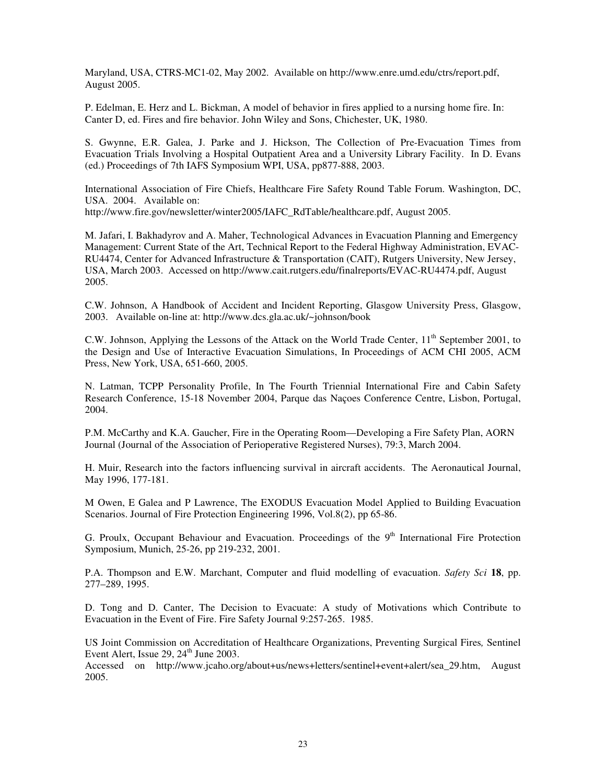Maryland, USA, CTRS-MC1-02, May 2002. Available on http://www.enre.umd.edu/ctrs/report.pdf, August 2005.

P. Edelman, E. Herz and L. Bickman, A model of behavior in fires applied to a nursing home fire. In: Canter D, ed. Fires and fire behavior. John Wiley and Sons, Chichester, UK, 1980.

S. Gwynne, E.R. Galea, J. Parke and J. Hickson, The Collection of Pre-Evacuation Times from Evacuation Trials Involving a Hospital Outpatient Area and a University Library Facility. In D. Evans (ed.) Proceedings of 7th IAFS Symposium WPI, USA, pp877-888, 2003.

International Association of Fire Chiefs, Healthcare Fire Safety Round Table Forum. Washington, DC, USA. 2004. Available on: http://www.fire.gov/newsletter/winter2005/IAFC\_RdTable/healthcare.pdf, August 2005.

M. Jafari, I. Bakhadyrov and A. Maher, Technological Advances in Evacuation Planning and Emergency Management: Current State of the Art, Technical Report to the Federal Highway Administration, EVAC-RU4474, Center for Advanced Infrastructure & Transportation (CAIT), Rutgers University, New Jersey, USA, March 2003. Accessed on http://www.cait.rutgers.edu/finalreports/EVAC-RU4474.pdf, August 2005.

C.W. Johnson, A Handbook of Accident and Incident Reporting, Glasgow University Press, Glasgow, 2003. Available on-line at: http://www.dcs.gla.ac.uk/~johnson/book

C.W. Johnson, Applying the Lessons of the Attack on the World Trade Center, 11<sup>th</sup> September 2001, to the Design and Use of Interactive Evacuation Simulations, In Proceedings of ACM CHI 2005, ACM Press, New York, USA, 651-660, 2005.

N. Latman, TCPP Personality Profile, In The Fourth Triennial International Fire and Cabin Safety Research Conference, 15-18 November 2004, Parque das Naçoes Conference Centre, Lisbon, Portugal, 2004.

P.M. McCarthy and K.A. Gaucher, Fire in the Operating Room—Developing a Fire Safety Plan, AORN Journal (Journal of the Association of Perioperative Registered Nurses), 79:3, March 2004.

H. Muir, Research into the factors influencing survival in aircraft accidents. The Aeronautical Journal, May 1996, 177-181.

M Owen, E Galea and P Lawrence, The EXODUS Evacuation Model Applied to Building Evacuation Scenarios. Journal of Fire Protection Engineering 1996, Vol.8(2), pp 65-86.

G. Proulx, Occupant Behaviour and Evacuation. Proceedings of the 9<sup>th</sup> International Fire Protection Symposium, Munich, 25-26, pp 219-232, 2001.

P.A. Thompson and E.W. Marchant, Computer and fluid modelling of evacuation. *Safety Sci* **18**, pp. 277–289, 1995.

D. Tong and D. Canter, The Decision to Evacuate: A study of Motivations which Contribute to Evacuation in the Event of Fire. Fire Safety Journal 9:257-265. 1985.

US Joint Commission on Accreditation of Healthcare Organizations, Preventing Surgical Fires*,* Sentinel Event Alert, Issue  $29$ ,  $24<sup>th</sup>$  June  $2003$ .

Accessed on http://www.jcaho.org/about+us/news+letters/sentinel+event+alert/sea\_29.htm, August 2005.